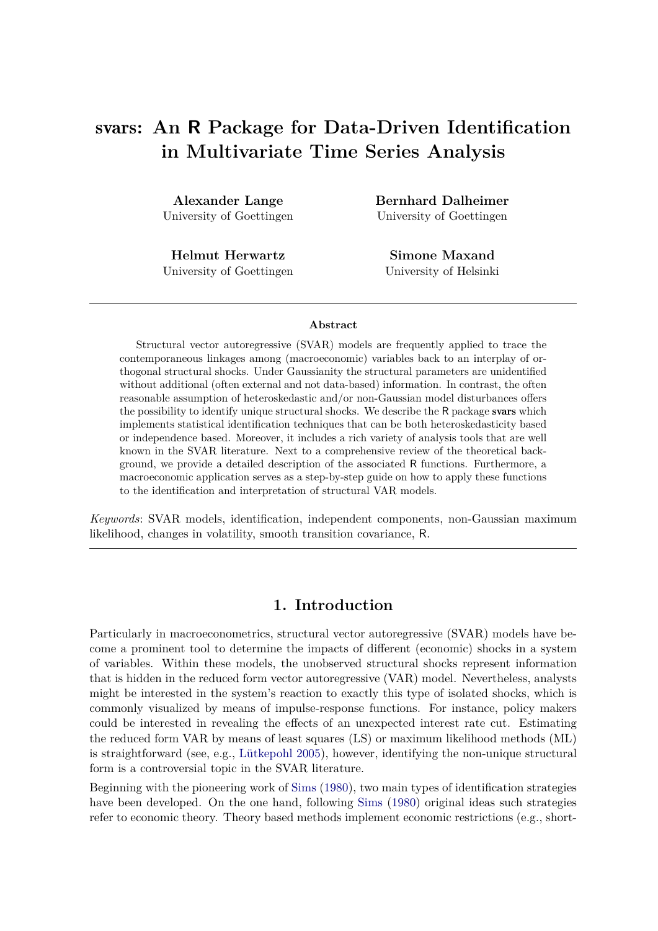**Alexander Lange** University of Goettingen

**Helmut Herwartz** University of Goettingen **Bernhard Dalheimer** University of Goettingen

**Simone Maxand** University of Helsinki

#### **Abstract**

Structural vector autoregressive (SVAR) models are frequently applied to trace the contemporaneous linkages among (macroeconomic) variables back to an interplay of orthogonal structural shocks. Under Gaussianity the structural parameters are unidentified without additional (often external and not data-based) information. In contrast, the often reasonable assumption of heteroskedastic and/or non-Gaussian model disturbances offers the possibility to identify unique structural shocks. We describe the R package svars which implements statistical identification techniques that can be both heteroskedasticity based or independence based. Moreover, it includes a rich variety of analysis tools that are well known in the SVAR literature. Next to a comprehensive review of the theoretical background, we provide a detailed description of the associated R functions. Furthermore, a macroeconomic application serves as a step-by-step guide on how to apply these functions to the identification and interpretation of structural VAR models.

*Keywords*: SVAR models, identification, independent components, non-Gaussian maximum likelihood, changes in volatility, smooth transition covariance, R.

## **1. Introduction**

Particularly in macroeconometrics, structural vector autoregressive (SVAR) models have become a prominent tool to determine the impacts of different (economic) shocks in a system of variables. Within these models, the unobserved structural shocks represent information that is hidden in the reduced form vector autoregressive (VAR) model. Nevertheless, analysts might be interested in the system's reaction to exactly this type of isolated shocks, which is commonly visualized by means of impulse-response functions. For instance, policy makers could be interested in revealing the effects of an unexpected interest rate cut. Estimating the reduced form VAR by means of least squares (LS) or maximum likelihood methods (ML) is straightforward (see, e.g., [Lütkepohl 2005\)](#page-31-0), however, identifying the non-unique structural form is a controversial topic in the SVAR literature.

Beginning with the pioneering work of [Sims](#page-33-0) [\(1980\)](#page-33-0), two main types of identification strategies have been developed. On the one hand, following [Sims](#page-33-0) [\(1980\)](#page-33-0) original ideas such strategies refer to economic theory. Theory based methods implement economic restrictions (e.g., short-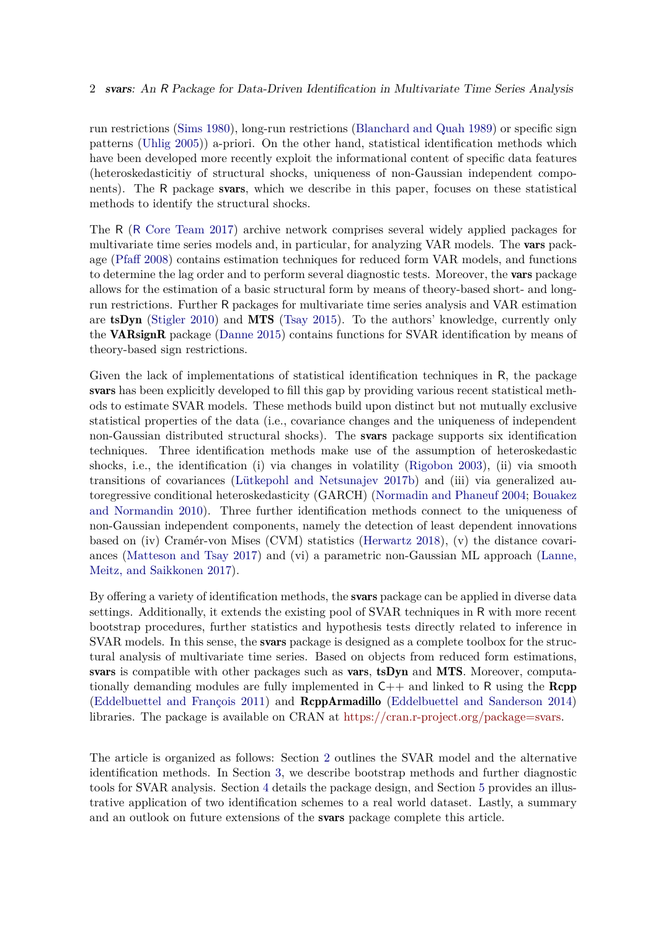run restrictions [\(Sims 1980\)](#page-33-0), long-run restrictions [\(Blanchard and Quah 1989\)](#page-28-0) or specific sign patterns [\(Uhlig 2005\)](#page-33-1)) a-priori. On the other hand, statistical identification methods which have been developed more recently exploit the informational content of specific data features (heteroskedasticitiy of structural shocks, uniqueness of non-Gaussian independent components). The R package svars, which we describe in this paper, focuses on these statistical methods to identify the structural shocks.

The R (R [Core Team 2017\)](#page-32-0) archive network comprises several widely applied packages for multivariate time series models and, in particular, for analyzing VAR models. The **vars** package [\(Pfaff 2008\)](#page-32-1) contains estimation techniques for reduced form VAR models, and functions to determine the lag order and to perform several diagnostic tests. Moreover, the vars package allows for the estimation of a basic structural form by means of theory-based short- and longrun restrictions. Further R packages for multivariate time series analysis and VAR estimation are tsDyn [\(Stigler 2010\)](#page-33-2) and MTS [\(Tsay 2015\)](#page-33-3). To the authors' knowledge, currently only the VARsignR package [\(Danne 2015\)](#page-29-0) contains functions for SVAR identification by means of theory-based sign restrictions.

Given the lack of implementations of statistical identification techniques in R, the package svars has been explicitly developed to fill this gap by providing various recent statistical methods to estimate SVAR models. These methods build upon distinct but not mutually exclusive statistical properties of the data (i.e., covariance changes and the uniqueness of independent non-Gaussian distributed structural shocks). The svars package supports six identification techniques. Three identification methods make use of the assumption of heteroskedastic shocks, i.e., the identification (i) via changes in volatility [\(Rigobon 2003\)](#page-33-4), (ii) via smooth transitions of covariances [\(Lütkepohl and Netsunajev 2017b\)](#page-31-1) and (iii) via generalized autoregressive conditional heteroskedasticity (GARCH) [\(Normadin and Phaneuf 2004;](#page-32-2) [Bouakez](#page-29-1) [and Normandin 2010\)](#page-29-1). Three further identification methods connect to the uniqueness of non-Gaussian independent components, namely the detection of least dependent innovations based on (iv) Cramér-von Mises (CVM) statistics [\(Herwartz 2018\)](#page-30-0), (v) the distance covariances [\(Matteson and Tsay 2017\)](#page-32-3) and (vi) a parametric non-Gaussian ML approach [\(Lanne,](#page-31-2) [Meitz, and Saikkonen 2017\)](#page-31-2).

By offering a variety of identification methods, the svars package can be applied in diverse data settings. Additionally, it extends the existing pool of SVAR techniques in R with more recent bootstrap procedures, further statistics and hypothesis tests directly related to inference in SVAR models. In this sense, the **svars** package is designed as a complete toolbox for the structural analysis of multivariate time series. Based on objects from reduced form estimations, svars is compatible with other packages such as vars, tsDyn and MTS. Moreover, computationally demanding modules are fully implemented in  $C_{++}$  and linked to R using the Rcpp [\(Eddelbuettel and François 2011\)](#page-29-2) and RcppArmadillo [\(Eddelbuettel and Sanderson 2014\)](#page-29-3) libraries. The package is available on CRAN at [https://cran.r-project.org/package=svars.](https://cran.r-project.org/package=svars)

The article is organized as follows: Section [2](#page-2-0) outlines the SVAR model and the alternative identification methods. In Section [3,](#page-8-0) we describe bootstrap methods and further diagnostic tools for SVAR analysis. Section [4](#page-12-0) details the package design, and Section [5](#page-18-0) provides an illustrative application of two identification schemes to a real world dataset. Lastly, a summary and an outlook on future extensions of the svars package complete this article.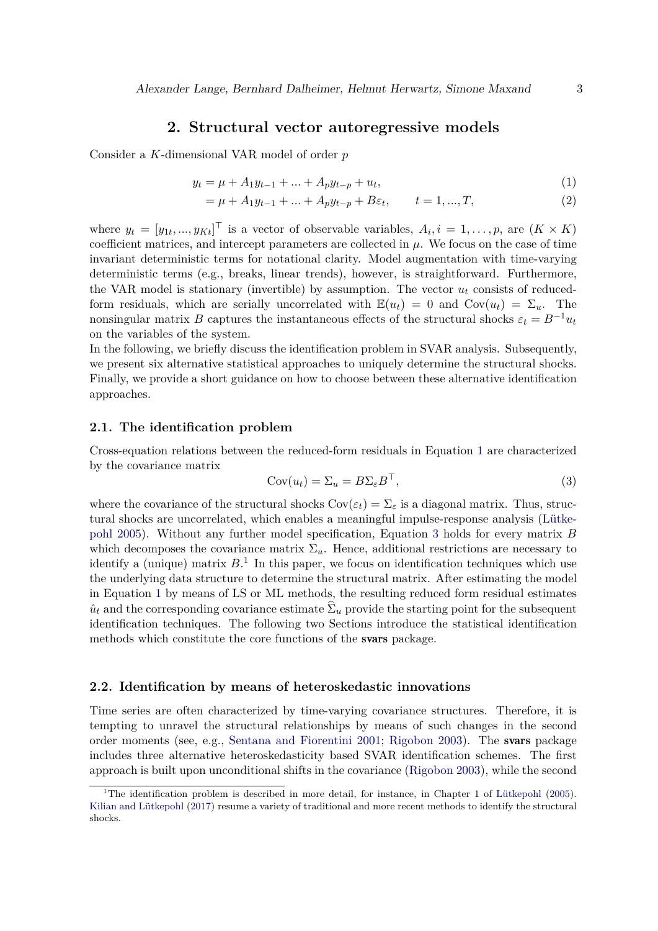## **2. Structural vector autoregressive models**

<span id="page-2-0"></span>Consider a *K*-dimensional VAR model of order *p*

$$
y_t = \mu + A_1 y_{t-1} + \dots + A_p y_{t-p} + u_t,\tag{1}
$$

<span id="page-2-1"></span>
$$
= \mu + A_1 y_{t-1} + \dots + A_p y_{t-p} + B \varepsilon_t, \qquad t = 1, ..., T,
$$
\n(2)

where  $y_t = [y_{1t}, ..., y_{Kt}]^\top$  is a vector of observable variables,  $A_i, i = 1, ..., p$ , are  $(K \times K)$ coefficient matrices, and intercept parameters are collected in  $\mu$ . We focus on the case of time invariant deterministic terms for notational clarity. Model augmentation with time-varying deterministic terms (e.g., breaks, linear trends), however, is straightforward. Furthermore, the VAR model is stationary (invertible) by assumption. The vector  $u_t$  consists of reducedform residuals, which are serially uncorrelated with  $\mathbb{E}(u_t) = 0$  and  $Cov(u_t) = \Sigma_u$ . The nonsingular matrix *B* captures the instantaneous effects of the structural shocks  $\varepsilon_t = B^{-1}u_t$ on the variables of the system.

In the following, we briefly discuss the identification problem in SVAR analysis. Subsequently, we present six alternative statistical approaches to uniquely determine the structural shocks. Finally, we provide a short guidance on how to choose between these alternative identification approaches.

### **2.1. The identification problem**

Cross-equation relations between the reduced-form residuals in Equation [1](#page-2-1) are characterized by the covariance matrix

<span id="page-2-2"></span>
$$
Cov(u_t) = \Sigma_u = B\Sigma_{\varepsilon}B^{\top},\tag{3}
$$

where the covariance of the structural shocks  $Cov(\varepsilon_t) = \Sigma_{\varepsilon}$  is a diagonal matrix. Thus, structural shocks are uncorrelated, which enables a meaningful impulse-response analysis [\(Lütke](#page-31-0)[pohl 2005\)](#page-31-0). Without any further model specification, Equation [3](#page-2-2) holds for every matrix *B* which decomposes the covariance matrix  $\Sigma_u$ . Hence, additional restrictions are necessary to identify a (unique) matrix  $B<sup>1</sup>$  $B<sup>1</sup>$  $B<sup>1</sup>$ . In this paper, we focus on identification techniques which use the underlying data structure to determine the structural matrix. After estimating the model in Equation [1](#page-2-1) by means of LS or ML methods, the resulting reduced form residual estimates  $\hat{u}_t$  and the corresponding covariance estimate  $\Sigma_u$  provide the starting point for the subsequent identification techniques. The following two Sections introduce the statistical identification methods which constitute the core functions of the svars package.

### **2.2. Identification by means of heteroskedastic innovations**

Time series are often characterized by time-varying covariance structures. Therefore, it is tempting to unravel the structural relationships by means of such changes in the second order moments (see, e.g., [Sentana and Fiorentini 2001;](#page-33-5) [Rigobon 2003\)](#page-33-4). The svars package includes three alternative heteroskedasticity based SVAR identification schemes. The first approach is built upon unconditional shifts in the covariance [\(Rigobon 2003\)](#page-33-4), while the second

<span id="page-2-3"></span><sup>&</sup>lt;sup>1</sup>The identification problem is described in more detail, for instance, in Chapter 1 of [Lütkepohl](#page-31-0) [\(2005\)](#page-31-0). [Kilian and Lütkepohl](#page-31-3) [\(2017\)](#page-31-3) resume a variety of traditional and more recent methods to identify the structural shocks.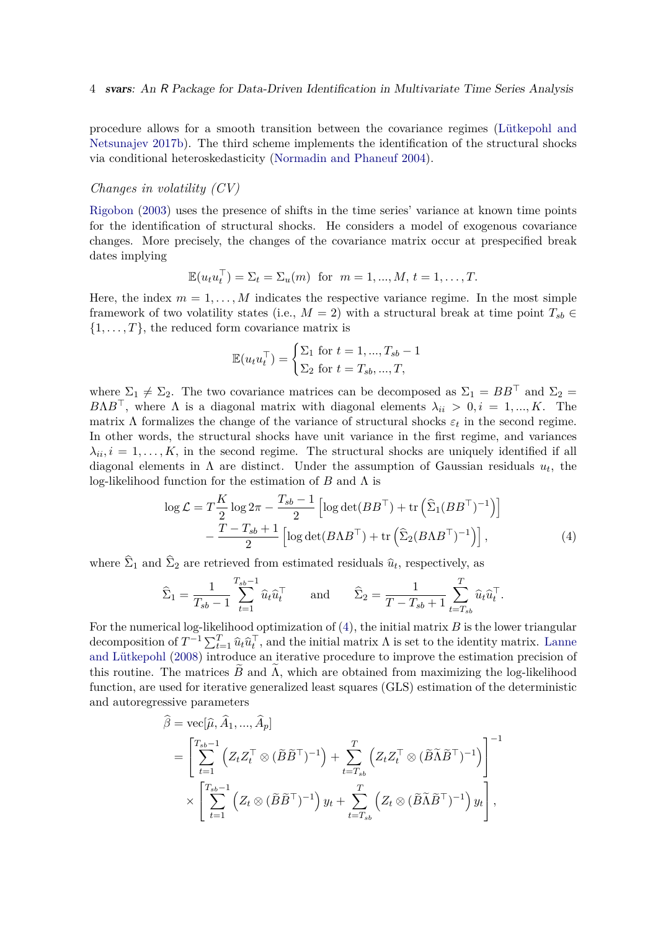procedure allows for a smooth transition between the covariance regimes [\(Lütkepohl and](#page-31-1) [Netsunajev 2017b\)](#page-31-1). The third scheme implements the identification of the structural shocks via conditional heteroskedasticity [\(Normadin and Phaneuf 2004\)](#page-32-2).

### *Changes in volatility (CV)*

[Rigobon](#page-33-4) [\(2003\)](#page-33-4) uses the presence of shifts in the time series' variance at known time points for the identification of structural shocks. He considers a model of exogenous covariance changes. More precisely, the changes of the covariance matrix occur at prespecified break dates implying

$$
\mathbb{E}(u_t u_t^\top) = \Sigma_t = \Sigma_u(m) \text{ for } m = 1, \dots, M, t = 1, \dots, T.
$$

Here, the index  $m = 1, \ldots, M$  indicates the respective variance regime. In the most simple framework of two volatility states (i.e.,  $M = 2$ ) with a structural break at time point  $T_{sb} \in$  $\{1, \ldots, T\}$ , the reduced form covariance matrix is

<span id="page-3-0"></span>
$$
\mathbb{E}(u_t u_t^{\top}) = \begin{cases} \Sigma_1 \text{ for } t = 1, ..., T_{sb} - 1\\ \Sigma_2 \text{ for } t = T_{sb}, ..., T, \end{cases}
$$

where  $\Sigma_1 \neq \Sigma_2$ . The two covariance matrices can be decomposed as  $\Sigma_1 = BB^{\top}$  and  $\Sigma_2 =$ *B*Λ*B*<sup>T</sup>, where Λ is a diagonal matrix with diagonal elements  $\lambda_{ii} > 0, i = 1, ..., K$ . The matrix  $\Lambda$  formalizes the change of the variance of structural shocks  $\varepsilon_t$  in the second regime. In other words, the structural shocks have unit variance in the first regime, and variances  $\lambda_{ii}, i = 1, \ldots, K$ , in the second regime. The structural shocks are uniquely identified if all diagonal elements in  $\Lambda$  are distinct. Under the assumption of Gaussian residuals  $u_t$ , the log-likelihood function for the estimation of *B* and Λ is

$$
\log \mathcal{L} = T\frac{K}{2}\log 2\pi - \frac{T_{sb} - 1}{2} \left[ \log \det(BB^{\top}) + \text{tr}\left(\hat{\Sigma}_{1}(BB^{\top})^{-1}\right) \right] - \frac{T - T_{sb} + 1}{2} \left[ \log \det(BAB^{\top}) + \text{tr}\left(\hat{\Sigma}_{2}(BAB^{\top})^{-1}\right) \right],\tag{4}
$$

where  $\Sigma_1$  and  $\Sigma_2$  are retrieved from estimated residuals  $\hat{u}_t$ , respectively, as

$$
\widehat{\Sigma}_1 = \frac{1}{T_{sb} - 1} \sum_{t=1}^{T_{sb} - 1} \widehat{u}_t \widehat{u}_t^\top \quad \text{and} \quad \widehat{\Sigma}_2 = \frac{1}{T - T_{sb} + 1} \sum_{t=T_{sb}}^T \widehat{u}_t \widehat{u}_t^\top.
$$

For the numerical log-likelihood optimization of [\(4\)](#page-3-0), the initial matrix *B* is the lower triangular decomposition of  $T^{-1} \sum_{t=1}^T \hat{u}_t \hat{u}_t^\top$ , and the initial matrix  $\Lambda$  is set to the identity matrix. [Lanne](#page-31-4) [and Lütkepohl](#page-31-4) [\(2008\)](#page-31-4) introduce an iterative procedure to improve the estimation precision of this routine. The matrices  $\ddot{B}$  and  $\Lambda$ , which are obtained from maximizing the log-likelihood function, are used for iterative generalized least squares (GLS) estimation of the deterministic and autoregressive parameters

$$
\widehat{\beta} = \text{vec}[\widehat{\mu}, \widehat{A}_1, ..., \widehat{A}_p]
$$
\n
$$
= \left[ \sum_{t=1}^{T_{sb}-1} \left( Z_t Z_t^{\top} \otimes (\widetilde{B} \widetilde{B}^{\top})^{-1} \right) + \sum_{t=T_{sb}}^{T} \left( Z_t Z_t^{\top} \otimes (\widetilde{B} \widetilde{\Lambda} \widetilde{B}^{\top})^{-1} \right) \right]^{-1}
$$
\n
$$
\times \left[ \sum_{t=1}^{T_{sb}-1} \left( Z_t \otimes (\widetilde{B} \widetilde{B}^{\top})^{-1} \right) y_t + \sum_{t=T_{sb}}^{T} \left( Z_t \otimes (\widetilde{B} \widetilde{\Lambda} \widetilde{B}^{\top})^{-1} \right) y_t \right],
$$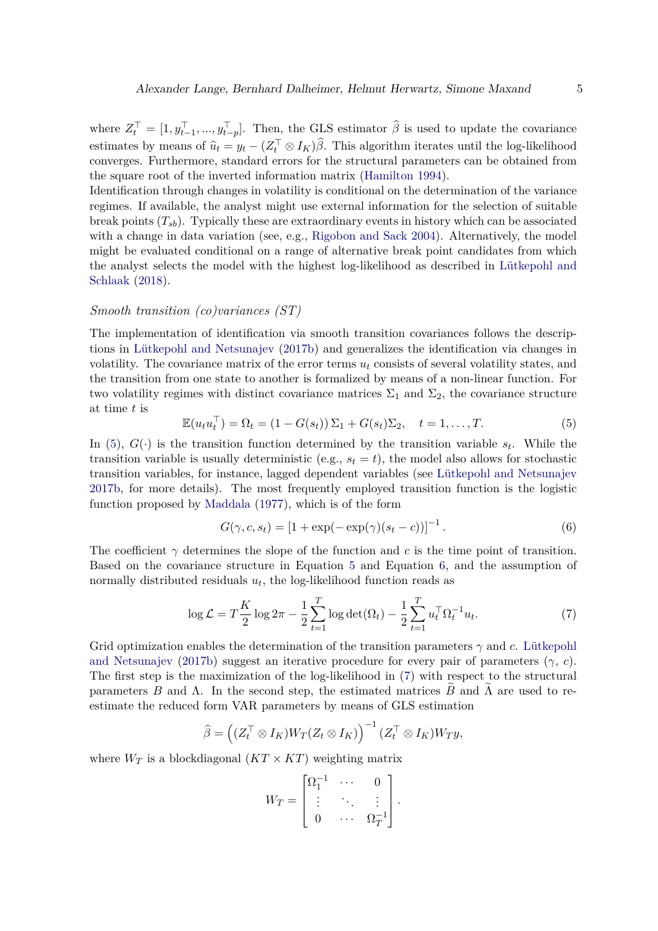where  $Z_t^{\top} = [1, y_{t-1}^{\top}, ..., y_{t-p}^{\top}]$ . Then, the GLS estimator  $\hat{\beta}$  is used to update the covariance estimates by means of  $\hat{u}_t = y_t - (Z_t^\top \otimes I_K) \hat{\beta}$ . This algorithm iterates until the log-likelihood converges. Furthermore, standard errors for the structural parameters can be obtained from the square root of the inverted information matrix [\(Hamilton 1994\)](#page-30-1).

Identification through changes in volatility is conditional on the determination of the variance regimes. If available, the analyst might use external information for the selection of suitable break points  $(T_{sb})$ . Typically these are extraordinary events in history which can be associated with a change in data variation (see, e.g., [Rigobon and Sack 2004\)](#page-33-6). Alternatively, the model might be evaluated conditional on a range of alternative break point candidates from which the analyst selects the model with the highest log-likelihood as described in [Lütkepohl and](#page-32-4) [Schlaak](#page-32-4) [\(2018\)](#page-32-4).

## <span id="page-4-3"></span>*Smooth transition (co)variances (ST)*

The implementation of identification via smooth transition covariances follows the descriptions in [Lütkepohl and Netsunajev](#page-31-1) [\(2017b\)](#page-31-1) and generalizes the identification via changes in volatility. The covariance matrix of the error terms  $u_t$  consists of several volatility states, and the transition from one state to another is formalized by means of a non-linear function. For two volatility regimes with distinct covariance matrices  $\Sigma_1$  and  $\Sigma_2$ , the covariance structure at time *t* is

<span id="page-4-0"></span>
$$
\mathbb{E}(u_t u_t^\top) = \Omega_t = (1 - G(s_t))\Sigma_1 + G(s_t)\Sigma_2, \quad t = 1, \dots, T. \tag{5}
$$

In [\(5\)](#page-4-0),  $G(\cdot)$  is the transition function determined by the transition variable  $s_t$ . While the transition variable is usually deterministic (e.g.,  $s_t = t$ ), the model also allows for stochastic transition variables, for instance, lagged dependent variables (see [Lütkepohl and Netsunajev](#page-31-1) [2017b,](#page-31-1) for more details). The most frequently employed transition function is the logistic function proposed by [Maddala](#page-32-5) [\(1977\)](#page-32-5), which is of the form

<span id="page-4-2"></span><span id="page-4-1"></span>
$$
G(\gamma, c, s_t) = [1 + \exp(-\exp(\gamma)(s_t - c))]^{-1}.
$$
 (6)

The coefficient  $\gamma$  determines the slope of the function and c is the time point of transition. Based on the covariance structure in Equation [5](#page-4-0) and Equation [6,](#page-4-1) and the assumption of normally distributed residuals  $u_t$ , the log-likelihood function reads as

$$
\log \mathcal{L} = T \frac{K}{2} \log 2\pi - \frac{1}{2} \sum_{t=1}^{T} \log \det(\Omega_t) - \frac{1}{2} \sum_{t=1}^{T} u_t^{\top} \Omega_t^{-1} u_t.
$$
 (7)

Grid optimization enables the determination of the transition parameters  $\gamma$  and *c*. [Lütkepohl](#page-31-1) [and Netsunajev](#page-31-1) [\(2017b\)](#page-31-1) suggest an iterative procedure for every pair of parameters (*γ*, *c*). The first step is the maximization of the log-likelihood in [\(7\)](#page-4-2) with respect to the structural parameters *B* and  $\Lambda$ . In the second step, the estimated matrices *B* and  $\Lambda$  are used to reestimate the reduced form VAR parameters by means of GLS estimation

$$
\widehat{\beta} = ((Z_t^\top \otimes I_K)W_T(Z_t \otimes I_K))^{-1} (Z_t^\top \otimes I_K)W_T y,
$$

where  $W_T$  is a blockdiagonal  $(KT \times KT)$  weighting matrix

$$
W_T = \begin{bmatrix} \Omega_1^{-1} & \cdots & 0 \\ \vdots & \ddots & \vdots \\ 0 & \cdots & \Omega_T^{-1} \end{bmatrix}.
$$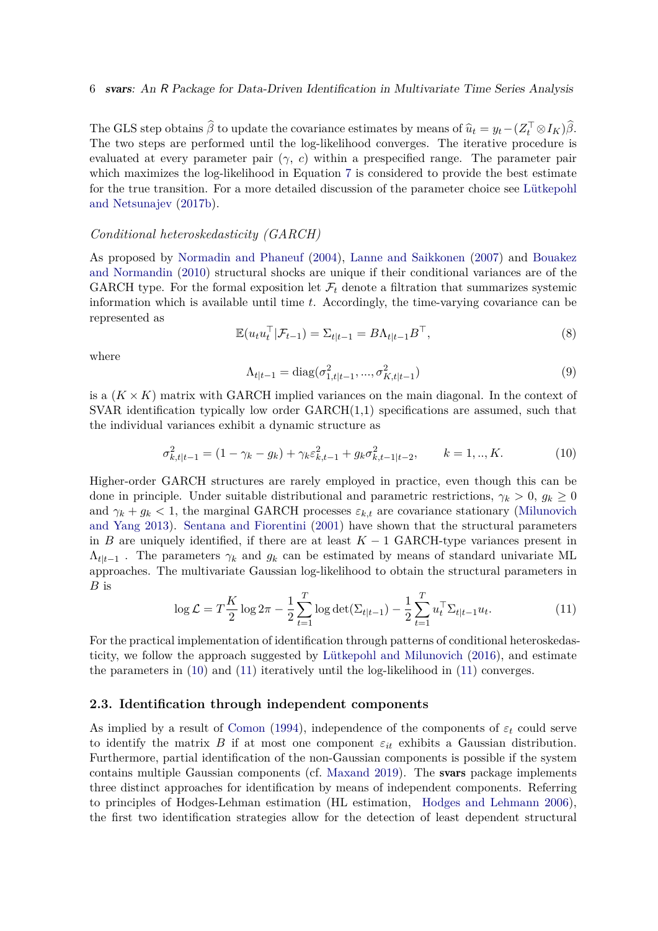The GLS step obtains  $\hat{\beta}$  to update the covariance estimates by means of  $\hat{u}_t = y_t - (Z_t^\top \otimes I_K)\hat{\beta}$ . The two steps are performed until the log-likelihood converges. The iterative procedure is evaluated at every parameter pair  $(\gamma, c)$  within a prespecified range. The parameter pair which maximizes the log-likelihood in Equation [7](#page-4-2) is considered to provide the best estimate for the true transition. For a more detailed discussion of the parameter choice see [Lütkepohl](#page-31-1) [and Netsunajev](#page-31-1) [\(2017b\)](#page-31-1).

#### *Conditional heteroskedasticity (GARCH)*

As proposed by [Normadin and Phaneuf](#page-32-2) [\(2004\)](#page-32-2), [Lanne and Saikkonen](#page-31-5) [\(2007\)](#page-31-5) and [Bouakez](#page-29-1) [and Normandin](#page-29-1) [\(2010\)](#page-29-1) structural shocks are unique if their conditional variances are of the GARCH type. For the formal exposition let  $\mathcal{F}_t$  denote a filtration that summarizes systemic information which is available until time *t*. Accordingly, the time-varying covariance can be represented as

$$
\mathbb{E}(u_t u_t^\top | \mathcal{F}_{t-1}) = \Sigma_{t|t-1} = B\Lambda_{t|t-1} B^\top,
$$
\n(8)

where

<span id="page-5-0"></span>
$$
\Lambda_{t|t-1} = \text{diag}(\sigma_{1,t|t-1}^2, ..., \sigma_{K,t|t-1}^2)
$$
\n(9)

is a  $(K \times K)$  matrix with GARCH implied variances on the main diagonal. In the context of  $SVAR$  identification typically low order  $GARCH(1,1)$  specifications are assumed, such that the individual variances exhibit a dynamic structure as

$$
\sigma_{k,t|t-1}^2 = (1 - \gamma_k - g_k) + \gamma_k \varepsilon_{k,t-1}^2 + g_k \sigma_{k,t-1|t-2}^2, \qquad k = 1,..,K.
$$
 (10)

Higher-order GARCH structures are rarely employed in practice, even though this can be done in principle. Under suitable distributional and parametric restrictions,  $\gamma_k > 0$ ,  $g_k \geq 0$ and  $\gamma_k + g_k < 1$ , the marginal GARCH processes  $\varepsilon_{k,t}$  are covariance stationary [\(Milunovich](#page-32-6) [and Yang 2013\)](#page-32-6). [Sentana and Fiorentini](#page-33-5) [\(2001\)](#page-33-5) have shown that the structural parameters in *B* are uniquely identified, if there are at least  $K - 1$  GARCH-type variances present in  $\Lambda_{t|t-1}$ . The parameters  $\gamma_k$  and  $g_k$  can be estimated by means of standard univariate ML approaches. The multivariate Gaussian log-likelihood to obtain the structural parameters in *B* is

<span id="page-5-1"></span>
$$
\log \mathcal{L} = T \frac{K}{2} \log 2\pi - \frac{1}{2} \sum_{t=1}^{T} \log \det(\Sigma_{t|t-1}) - \frac{1}{2} \sum_{t=1}^{T} u_t^{\top} \Sigma_{t|t-1} u_t.
$$
 (11)

For the practical implementation of identification through patterns of conditional heteroskedasticity, we follow the approach suggested by [Lütkepohl and Milunovich](#page-31-6) [\(2016\)](#page-31-6), and estimate the parameters in [\(10\)](#page-5-0) and [\(11\)](#page-5-1) iteratively until the log-likelihood in [\(11\)](#page-5-1) converges.

## **2.3. Identification through independent components**

As implied by a result of [Comon](#page-29-4) [\(1994\)](#page-29-4), independence of the components of  $\varepsilon_t$  could serve to identify the matrix  $B$  if at most one component  $\varepsilon_{it}$  exhibits a Gaussian distribution. Furthermore, partial identification of the non-Gaussian components is possible if the system contains multiple Gaussian components (cf. [Maxand 2019\)](#page-32-7). The svars package implements three distinct approaches for identification by means of independent components. Referring to principles of Hodges-Lehman estimation (HL estimation, [Hodges and Lehmann 2006\)](#page-30-2), the first two identification strategies allow for the detection of least dependent structural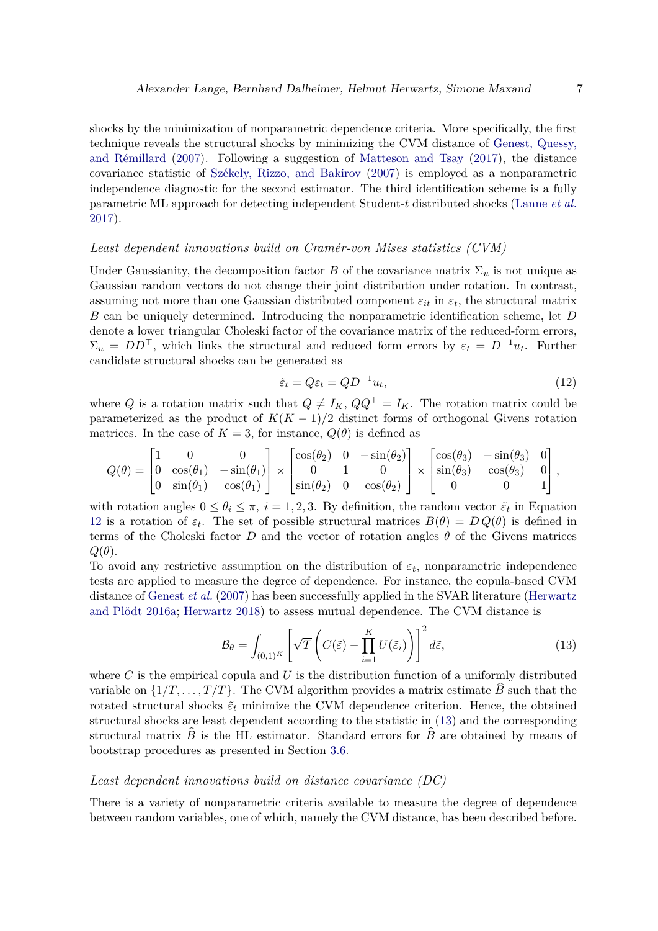shocks by the minimization of nonparametric dependence criteria. More specifically, the first technique reveals the structural shocks by minimizing the CVM distance of [Genest, Quessy,](#page-29-5) [and Rémillard](#page-29-5) [\(2007\)](#page-29-5). Following a suggestion of [Matteson and Tsay](#page-32-3) [\(2017\)](#page-32-3), the distance covariance statistic of [Székely, Rizzo, and Bakirov](#page-33-7) [\(2007\)](#page-33-7) is employed as a nonparametric independence diagnostic for the second estimator. The third identification scheme is a fully parametric ML approach for detecting independent Student-*t* distributed shocks [\(Lanne](#page-31-2) *et al.* [2017\)](#page-31-2).

## *Least dependent innovations build on Cramér-von Mises statistics (CVM)*

Under Gaussianity, the decomposition factor *B* of the covariance matrix  $\Sigma_u$  is not unique as Gaussian random vectors do not change their joint distribution under rotation. In contrast, assuming not more than one Gaussian distributed component  $\varepsilon_{it}$  in  $\varepsilon_t$ , the structural matrix *B* can be uniquely determined. Introducing the nonparametric identification scheme, let *D* denote a lower triangular Choleski factor of the covariance matrix of the reduced-form errors,  $\Sigma_u = DD^\top$ , which links the structural and reduced form errors by  $\varepsilon_t = D^{-1}u_t$ . Further candidate structural shocks can be generated as

<span id="page-6-0"></span>
$$
\tilde{\varepsilon}_t = Q \varepsilon_t = Q D^{-1} u_t,\tag{12}
$$

where *Q* is a rotation matrix such that  $Q \neq I_K$ ,  $QQ^{\top} = I_K$ . The rotation matrix could be parameterized as the product of  $K(K-1)/2$  distinct forms of orthogonal Givens rotation matrices. In the case of  $K = 3$ , for instance,  $Q(\theta)$  is defined as

$$
Q(\theta) = \begin{bmatrix} 1 & 0 & 0 \\ 0 & \cos(\theta_1) & -\sin(\theta_1) \\ 0 & \sin(\theta_1) & \cos(\theta_1) \end{bmatrix} \times \begin{bmatrix} \cos(\theta_2) & 0 & -\sin(\theta_2) \\ 0 & 1 & 0 \\ \sin(\theta_2) & 0 & \cos(\theta_2) \end{bmatrix} \times \begin{bmatrix} \cos(\theta_3) & -\sin(\theta_3) & 0 \\ \sin(\theta_3) & \cos(\theta_3) & 0 \\ 0 & 0 & 1 \end{bmatrix},
$$

with rotation angles  $0 \le \theta_i \le \pi$ ,  $i = 1, 2, 3$ . By definition, the random vector  $\tilde{\varepsilon}_t$  in Equation [12](#page-6-0) is a rotation of  $\varepsilon_t$ . The set of possible structural matrices  $B(\theta) = D Q(\theta)$  is defined in terms of the Choleski factor *D* and the vector of rotation angles  $\theta$  of the Givens matrices  $Q(\theta)$ .

To avoid any restrictive assumption on the distribution of  $\varepsilon_t$ , nonparametric independence tests are applied to measure the degree of dependence. For instance, the copula-based CVM distance of [Genest](#page-29-5) *et al.* [\(2007\)](#page-29-5) has been successfully applied in the SVAR literature [\(Herwartz](#page-30-3) [and Plödt 2016a;](#page-30-3) [Herwartz 2018\)](#page-30-0) to assess mutual dependence. The CVM distance is

<span id="page-6-1"></span>
$$
\mathcal{B}_{\theta} = \int_{(0,1)^K} \left[ \sqrt{T} \left( C(\tilde{\varepsilon}) - \prod_{i=1}^K U(\tilde{\varepsilon}_i) \right) \right]^2 d\tilde{\varepsilon}, \tag{13}
$$

where *C* is the empirical copula and *U* is the distribution function of a uniformly distributed variable on  $\{1/T, \ldots, T/T\}$ . The CVM algorithm provides a matrix estimate *B* such that the rotated structural shocks  $\tilde{\varepsilon}_t$  minimize the CVM dependence criterion. Hence, the obtained structural shocks are least dependent according to the statistic in [\(13\)](#page-6-1) and the corresponding structural matrix  $B$  is the HL estimator. Standard errors for  $B$  are obtained by means of bootstrap procedures as presented in Section [3.6.](#page-11-0)

## *Least dependent innovations build on distance covariance (DC)*

There is a variety of nonparametric criteria available to measure the degree of dependence between random variables, one of which, namely the CVM distance, has been described before.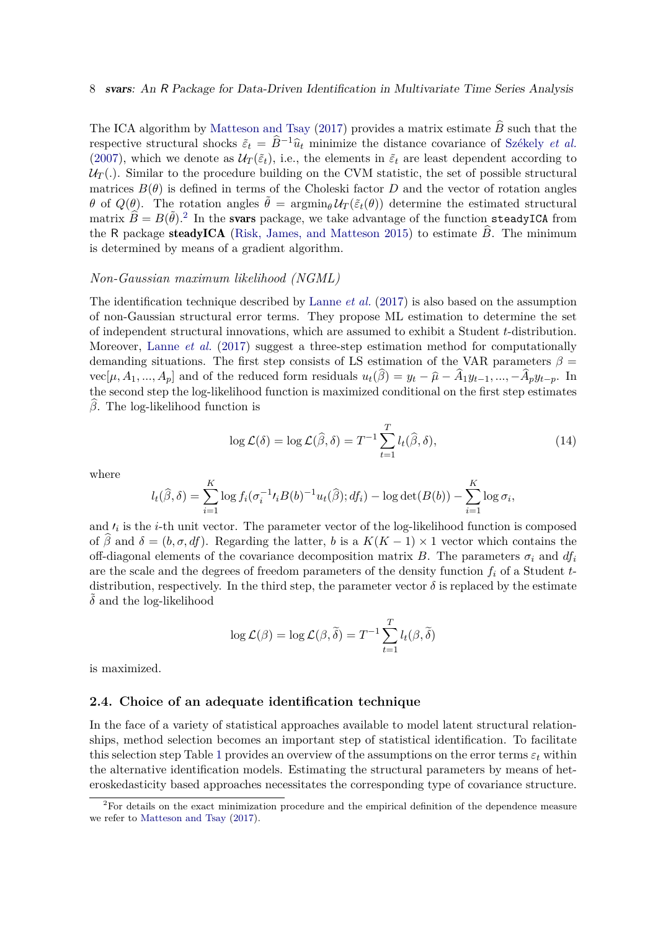The ICA algorithm by [Matteson and Tsay](#page-32-3) [\(2017\)](#page-32-3) provides a matrix estimate  $\hat{B}$  such that the respective structural shocks  $\tilde{\varepsilon}_t = \hat{B}^{-1}\hat{u}_t$  minimize the distance covariance of [Székely](#page-33-7) *et al.* [\(2007\)](#page-33-7), which we denote as  $U_T(\tilde{\varepsilon}_t)$ , i.e., the elements in  $\tilde{\varepsilon}_t$  are least dependent according to  $U_T(.)$ . Similar to the procedure building on the CVM statistic, the set of possible structural matrices  $B(\theta)$  is defined in terms of the Choleski factor *D* and the vector of rotation angles *θ* of  $Q(\theta)$ . The rotation angles  $\tilde{\theta} = \arg\min_{\theta} \mathcal{U}_T(\tilde{\varepsilon}_t(\theta))$  determine the estimated structural matrix  $\widehat{B} = B(\widetilde{\theta})$ .<sup>[2](#page-7-0)</sup> In the svars package, we take advantage of the function steadyICA from the R package steadyICA [\(Risk, James, and Matteson 2015\)](#page-33-8) to estimate  $\hat{B}$ . The minimum is determined by means of a gradient algorithm.

#### *Non-Gaussian maximum likelihood (NGML)*

The identification technique described by [Lanne](#page-31-2) *et al.* [\(2017\)](#page-31-2) is also based on the assumption of non-Gaussian structural error terms. They propose ML estimation to determine the set of independent structural innovations, which are assumed to exhibit a Student *t*-distribution. Moreover, [Lanne](#page-31-2) *et al.* [\(2017\)](#page-31-2) suggest a three-step estimation method for computationally demanding situations. The first step consists of LS estimation of the VAR parameters  $\beta$  =  $vec[\mu, A_1, ..., A_p]$  and of the reduced form residuals  $u_t(\beta) = y_t - \hat{\mu} - A_1 y_{t-1}, ..., -A_p y_{t-p}$ . In the second step the log-likelihood function is maximized conditional on the first step estimates b*β*. The log-likelihood function is

<span id="page-7-1"></span>
$$
\log \mathcal{L}(\delta) = \log \mathcal{L}(\widehat{\beta}, \delta) = T^{-1} \sum_{t=1}^{T} l_t(\widehat{\beta}, \delta), \tag{14}
$$

where

$$
l_t(\hat{\beta}, \delta) = \sum_{i=1}^K \log f_i(\sigma_i^{-1} \ell_i B(b)^{-1} u_t(\hat{\beta}); df_i) - \log \det(B(b)) - \sum_{i=1}^K \log \sigma_i,
$$

and  $\prime_i$  is the *i*-th unit vector. The parameter vector of the log-likelihood function is composed of  $\beta$  and  $\delta = (b, \sigma, df)$ . Regarding the latter, *b* is a  $K(K-1) \times 1$  vector which contains the off-diagonal elements of the covariance decomposition matrix *B*. The parameters  $\sigma_i$  and  $df_i$ are the scale and the degrees of freedom parameters of the density function *f<sup>i</sup>* of a Student *t*distribution, respectively. In the third step, the parameter vector  $\delta$  is replaced by the estimate  $\delta$  and the log-likelihood

$$
\log \mathcal{L}(\beta) = \log \mathcal{L}(\beta, \widetilde{\delta}) = T^{-1} \sum_{t=1}^{T} l_t(\beta, \widetilde{\delta})
$$

is maximized.

## **2.4. Choice of an adequate identification technique**

In the face of a variety of statistical approaches available to model latent structural relationships, method selection becomes an important step of statistical identification. To facilitate this selection step Table [1](#page-8-1) provides an overview of the assumptions on the error terms  $\varepsilon_t$  within the alternative identification models. Estimating the structural parameters by means of heteroskedasticity based approaches necessitates the corresponding type of covariance structure.

<span id="page-7-0"></span><sup>&</sup>lt;sup>2</sup>For details on the exact minimization procedure and the empirical definition of the dependence measure we refer to [Matteson and Tsay](#page-32-3) [\(2017\)](#page-32-3).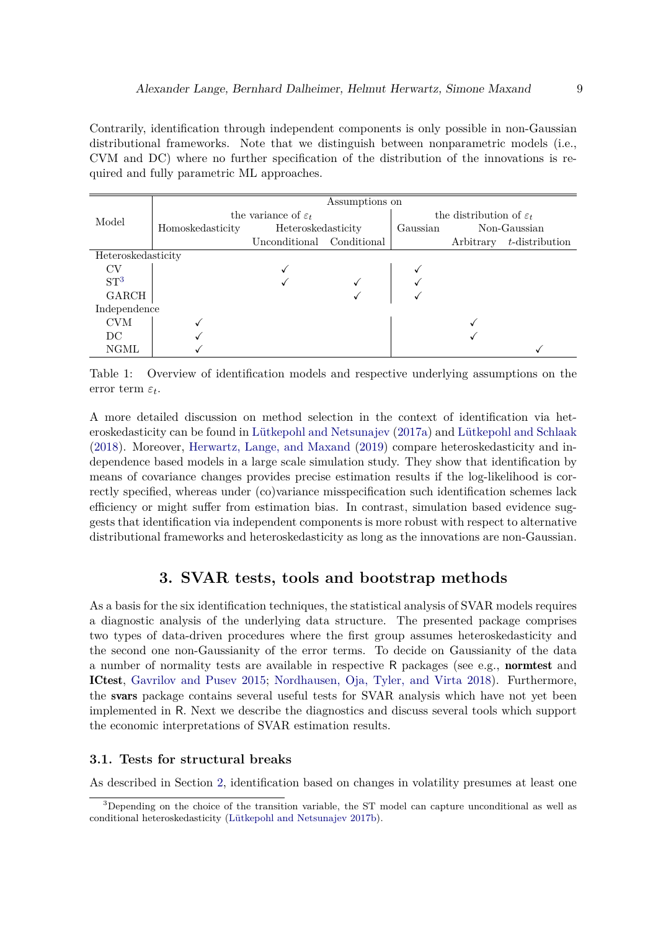Contrarily, identification through independent components is only possible in non-Gaussian distributional frameworks. Note that we distinguish between nonparametric models (i.e., CVM and DC) where no further specification of the distribution of the innovations is required and fully parametric ML approaches.

|                    | Assumptions on                  |                           |  |                                     |              |                |  |  |  |
|--------------------|---------------------------------|---------------------------|--|-------------------------------------|--------------|----------------|--|--|--|
| Model              | the variance of $\varepsilon_t$ |                           |  | the distribution of $\varepsilon_t$ |              |                |  |  |  |
|                    | Homoskedasticity                | Heteroskedasticity        |  | Gaussian                            | Non-Gaussian |                |  |  |  |
|                    |                                 | Unconditional Conditional |  |                                     | Arbitrary    | t-distribution |  |  |  |
| Heteroskedasticity |                                 |                           |  |                                     |              |                |  |  |  |
| <b>CV</b>          |                                 |                           |  |                                     |              |                |  |  |  |
| ST <sup>3</sup>    |                                 |                           |  |                                     |              |                |  |  |  |
| GARCH              |                                 |                           |  |                                     |              |                |  |  |  |
| Independence       |                                 |                           |  |                                     |              |                |  |  |  |
| <b>CVM</b>         |                                 |                           |  |                                     |              |                |  |  |  |
| DC                 |                                 |                           |  |                                     |              |                |  |  |  |
| <b>NGML</b>        |                                 |                           |  |                                     |              |                |  |  |  |

<span id="page-8-1"></span>Table 1: Overview of identification models and respective underlying assumptions on the error term *ε<sup>t</sup>* .

A more detailed discussion on method selection in the context of identification via heteroskedasticity can be found in [Lütkepohl and Netsunajev](#page-31-7) [\(2017a\)](#page-31-7) and [Lütkepohl and Schlaak](#page-32-4) [\(2018\)](#page-32-4). Moreover, [Herwartz, Lange, and Maxand](#page-30-4) [\(2019\)](#page-30-4) compare heteroskedasticity and independence based models in a large scale simulation study. They show that identification by means of covariance changes provides precise estimation results if the log-likelihood is correctly specified, whereas under (co)variance misspecification such identification schemes lack efficiency or might suffer from estimation bias. In contrast, simulation based evidence suggests that identification via independent components is more robust with respect to alternative distributional frameworks and heteroskedasticity as long as the innovations are non-Gaussian.

## **3. SVAR tests, tools and bootstrap methods**

<span id="page-8-0"></span>As a basis for the six identification techniques, the statistical analysis of SVAR models requires a diagnostic analysis of the underlying data structure. The presented package comprises two types of data-driven procedures where the first group assumes heteroskedasticity and the second one non-Gaussianity of the error terms. To decide on Gaussianity of the data a number of normality tests are available in respective R packages (see e.g., normtest and ICtest, [Gavrilov and Pusev 2015;](#page-29-6) [Nordhausen, Oja, Tyler, and Virta 2018\)](#page-32-8). Furthermore, the svars package contains several useful tests for SVAR analysis which have not yet been implemented in R. Next we describe the diagnostics and discuss several tools which support the economic interpretations of SVAR estimation results.

## **3.1. Tests for structural breaks**

As described in Section [2,](#page-2-0) identification based on changes in volatility presumes at least one

<span id="page-8-2"></span><sup>&</sup>lt;sup>3</sup>Depending on the choice of the transition variable, the ST model can capture unconditional as well as conditional heteroskedasticity [\(Lütkepohl and Netsunajev 2017b\)](#page-31-1).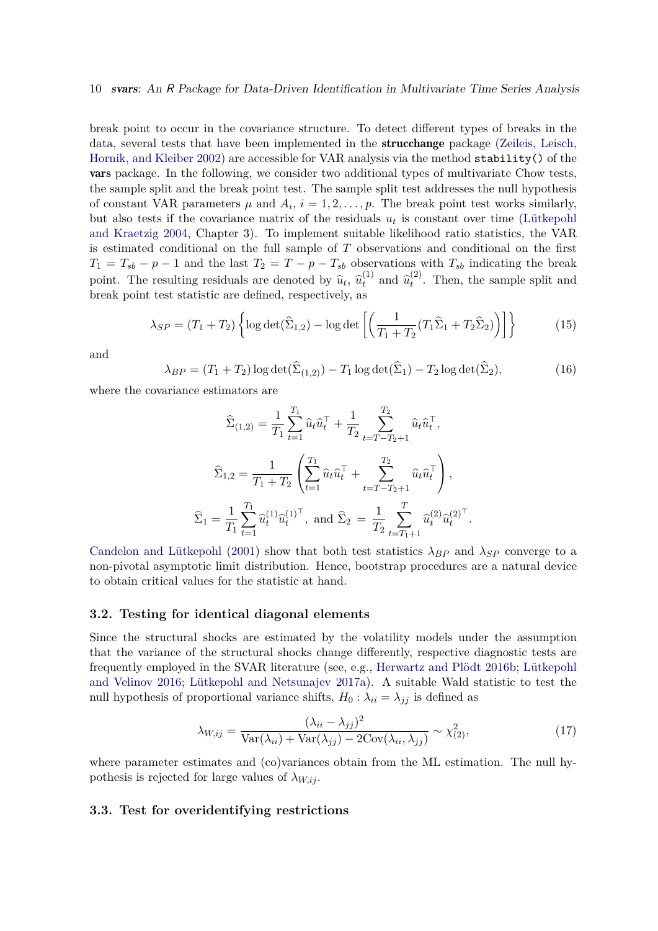break point to occur in the covariance structure. To detect different types of breaks in the data, several tests that have been implemented in the strucchange package [\(Zeileis, Leisch,](#page-33-9) [Hornik, and Kleiber 2002\)](#page-33-9) are accessible for VAR analysis via the method stability() of the vars package. In the following, we consider two additional types of multivariate Chow tests, the sample split and the break point test. The sample split test addresses the null hypothesis of constant VAR parameters  $\mu$  and  $A_i$ ,  $i = 1, 2, \ldots, p$ . The break point test works similarly, but also tests if the covariance matrix of the residuals  $u_t$  is constant over time [\(Lütkepohl](#page-31-8) [and Kraetzig 2004,](#page-31-8) Chapter 3). To implement suitable likelihood ratio statistics, the VAR is estimated conditional on the full sample of *T* observations and conditional on the first  $T_1 = T_{sb} - p - 1$  and the last  $T_2 = T - p - T_{sb}$  observations with  $T_{sb}$  indicating the break point. The resulting residuals are denoted by  $\hat{u}_t$ ,  $\hat{u}_t^{(1)}$  $\hat{u}_t^{(1)}$  and  $\hat{u}_t^{(2)}$  $t_t^{(2)}$ . Then, the sample split and break point test statistic are defined, respectively, as

$$
\lambda_{SP} = (T_1 + T_2) \left\{ \log \det(\widehat{\Sigma}_{1,2}) - \log \det \left[ \left( \frac{1}{T_1 + T_2} (T_1 \widehat{\Sigma}_1 + T_2 \widehat{\Sigma}_2) \right) \right] \right\} \tag{15}
$$

and

$$
\lambda_{BP} = (T_1 + T_2) \log \det(\widehat{\Sigma}_{(1,2)}) - T_1 \log \det(\widehat{\Sigma}_1) - T_2 \log \det(\widehat{\Sigma}_2),\tag{16}
$$

where the covariance estimators are

$$
\widehat{\Sigma}_{(1,2)} = \frac{1}{T_1} \sum_{t=1}^{T_1} \widehat{u}_t \widehat{u}_t^{\top} + \frac{1}{T_2} \sum_{t=T-T_2+1}^{T_2} \widehat{u}_t \widehat{u}_t^{\top},
$$
\n
$$
\widehat{\Sigma}_{1,2} = \frac{1}{T_1 + T_2} \left( \sum_{t=1}^{T_1} \widehat{u}_t \widehat{u}_t^{\top} + \sum_{t=T-T_2+1}^{T_2} \widehat{u}_t \widehat{u}_t^{\top} \right),
$$
\n
$$
\widehat{\Sigma}_1 = \frac{1}{T_1} \sum_{t=1}^{T_1} \widehat{u}_t^{(1)} \widehat{u}_t^{(1)\top}, \text{ and } \widehat{\Sigma}_2 = \frac{1}{T_2} \sum_{t=T_1+1}^{T} \widehat{u}_t^{(2)} \widehat{u}_t^{(2)\top}.
$$

[Candelon and Lütkepohl](#page-29-7) [\(2001\)](#page-29-7) show that both test statistics  $\lambda_{BP}$  and  $\lambda_{SP}$  converge to a non-pivotal asymptotic limit distribution. Hence, bootstrap procedures are a natural device to obtain critical values for the statistic at hand.

### **3.2. Testing for identical diagonal elements**

Since the structural shocks are estimated by the volatility models under the assumption that the variance of the structural shocks change differently, respective diagnostic tests are frequently employed in the SVAR literature (see, e.g., [Herwartz and Plödt 2016b;](#page-30-5) [Lütkepohl](#page-32-9) [and Velinov 2016;](#page-32-9) [Lütkepohl and Netsunajev 2017a\)](#page-31-7). A suitable Wald statistic to test the null hypothesis of proportional variance shifts,  $H_0: \lambda_{ii} = \lambda_{jj}$  is defined as

$$
\lambda_{W,ij} = \frac{(\lambda_{ii} - \lambda_{jj})^2}{\text{Var}(\lambda_{ii}) + \text{Var}(\lambda_{jj}) - 2\text{Cov}(\lambda_{ii}, \lambda_{jj})} \sim \chi^2_{(2)},\tag{17}
$$

where parameter estimates and (co)variances obtain from the ML estimation. The null hypothesis is rejected for large values of  $\lambda_{W,ij}$ .

### <span id="page-9-0"></span>**3.3. Test for overidentifying restrictions**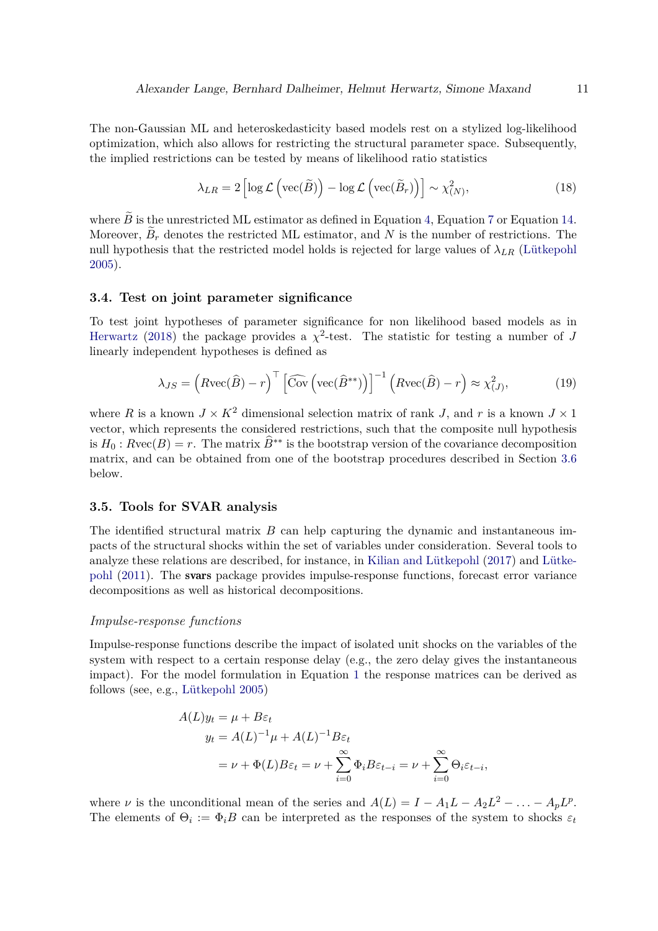The non-Gaussian ML and heteroskedasticity based models rest on a stylized log-likelihood optimization, which also allows for restricting the structural parameter space. Subsequently, the implied restrictions can be tested by means of likelihood ratio statistics

$$
\lambda_{LR} = 2 \left[ \log \mathcal{L} \left( \text{vec}(\widetilde{B}) \right) - \log \mathcal{L} \left( \text{vec}(\widetilde{B}_r) \right) \right] \sim \chi^2_{(N)},\tag{18}
$$

where  $\widetilde{B}$  is the unrestricted ML estimator as defined in Equation [4,](#page-3-0) Equation [7](#page-4-2) or Equation [14.](#page-7-1) Moreover,  $B_r$  denotes the restricted ML estimator, and N is the number of restrictions. The null hypothesis that the restricted model holds is rejected for large values of  $\lambda_{LR}$  [\(Lütkepohl](#page-31-0) [2005\)](#page-31-0).

#### **3.4. Test on joint parameter significance**

To test joint hypotheses of parameter significance for non likelihood based models as in [Herwartz](#page-30-0) [\(2018\)](#page-30-0) the package provides a  $\chi^2$ -test. The statistic for testing a number of *J* linearly independent hypotheses is defined as

<span id="page-10-0"></span>
$$
\lambda_{JS} = \left(R\text{vec}(\hat{B}) - r\right)^{\top} \left[\widehat{\text{Cov}}\left(\text{vec}(\hat{B}^{**})\right)\right]^{-1} \left(R\text{vec}(\hat{B}) - r\right) \approx \chi^2_{(J)},\tag{19}
$$

where *R* is a known  $J \times K^2$  dimensional selection matrix of rank *J*, and *r* is a known  $J \times 1$ vector, which represents the considered restrictions, such that the composite null hypothesis is  $H_0$ :  $Rvec(B) = r$ . The matrix  $\widehat{B}^{**}$  is the bootstrap version of the covariance decomposition matrix, and can be obtained from one of the bootstrap procedures described in Section [3.6](#page-11-0) below.

## **3.5. Tools for SVAR analysis**

The identified structural matrix *B* can help capturing the dynamic and instantaneous impacts of the structural shocks within the set of variables under consideration. Several tools to analyze these relations are described, for instance, in [Kilian and Lütkepohl](#page-31-3) [\(2017\)](#page-31-3) and [Lütke](#page-31-9)[pohl](#page-31-9) [\(2011\)](#page-31-9). The svars package provides impulse-response functions, forecast error variance decompositions as well as historical decompositions.

#### *Impulse-response functions*

Impulse-response functions describe the impact of isolated unit shocks on the variables of the system with respect to a certain response delay (e.g., the zero delay gives the instantaneous impact). For the model formulation in Equation [1](#page-2-1) the response matrices can be derived as follows (see, e.g., [Lütkepohl 2005\)](#page-31-0)

$$
A(L)y_t = \mu + B\varepsilon_t
$$
  

$$
y_t = A(L)^{-1}\mu + A(L)^{-1}B\varepsilon_t
$$
  

$$
= \nu + \Phi(L)B\varepsilon_t = \nu + \sum_{i=0}^{\infty} \Phi_i B\varepsilon_{t-i} = \nu + \sum_{i=0}^{\infty} \Theta_i \varepsilon_{t-i},
$$

where *ν* is the unconditional mean of the series and  $A(L) = I - A_1L - A_2L^2 - \ldots - A_pL^p$ . The elements of  $\Theta_i := \Phi_i B$  can be interpreted as the responses of the system to shocks  $\varepsilon_t$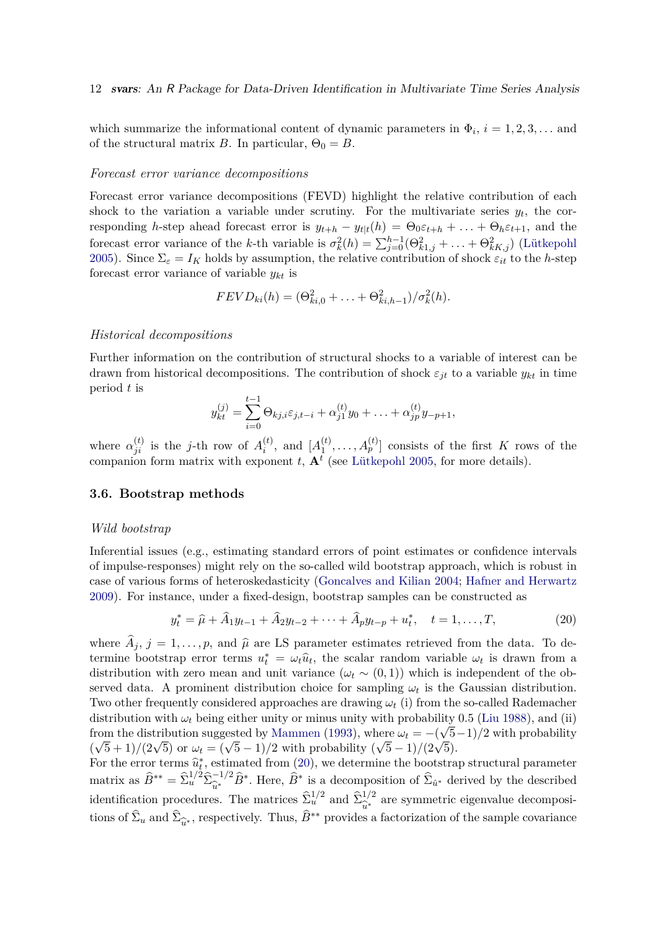which summarize the informational content of dynamic parameters in  $\Phi_i$ ,  $i = 1, 2, 3, \ldots$  and of the structural matrix *B*. In particular,  $\Theta_0 = B$ .

#### *Forecast error variance decompositions*

Forecast error variance decompositions (FEVD) highlight the relative contribution of each shock to the variation a variable under scrutiny. For the multivariate series  $y_t$ , the corresponding *h*-step ahead forecast error is  $y_{t+h} - y_{t|t}(h) = \Theta_0 \varepsilon_{t+h} + \ldots + \Theta_h \varepsilon_{t+1}$ , and the forecast error variance of the *k*-th variable is  $\sigma_k^2(h) = \sum_{j=0}^{h-1} (\Theta_{k1,j}^2 + \ldots + \Theta_{kK,j}^2)$  [\(Lütkepohl](#page-31-0) [2005\)](#page-31-0). Since  $\Sigma_{\varepsilon} = I_K$  holds by assumption, the relative contribution of shock  $\varepsilon_{it}$  to the *h*-step forecast error variance of variable *ykt* is

$$
FEVD_{ki}(h) = (\Theta_{ki,0}^2 + \ldots + \Theta_{ki,h-1}^2)/\sigma_k^2(h).
$$

### *Historical decompositions*

Further information on the contribution of structural shocks to a variable of interest can be drawn from historical decompositions. The contribution of shock  $\varepsilon_{jt}$  to a variable  $y_{kt}$  in time period *t* is

$$
y_{kt}^{(j)} = \sum_{i=0}^{t-1} \Theta_{kj,i} \varepsilon_{j,t-i} + \alpha_{j1}^{(t)} y_0 + \ldots + \alpha_{jp}^{(t)} y_{-p+1},
$$

where  $\alpha_{ji}^{(t)}$  is the *j*-th row of  $A_i^{(t)}$  $\binom{t}{i}$ , and  $[A_1^{(t)}]$  $A_1^{(t)}, \ldots, A_p^{(t)}$ ] consists of the first *K* rows of the companion form matrix with exponent  $t$ ,  $\mathbf{A}^t$  (see [Lütkepohl 2005,](#page-31-0) for more details).

## <span id="page-11-0"></span>**3.6. Bootstrap methods**

#### *Wild bootstrap*

Inferential issues (e.g., estimating standard errors of point estimates or confidence intervals of impulse-responses) might rely on the so-called wild bootstrap approach, which is robust in case of various forms of heteroskedasticity [\(Goncalves and Kilian 2004;](#page-29-8) [Hafner and Herwartz](#page-30-6) [2009\)](#page-30-6). For instance, under a fixed-design, bootstrap samples can be constructed as

<span id="page-11-1"></span>
$$
y_t^* = \hat{\mu} + \hat{A}_1 y_{t-1} + \hat{A}_2 y_{t-2} + \dots + \hat{A}_p y_{t-p} + u_t^*, \quad t = 1, \dots, T,
$$
 (20)

where  $A_j$ ,  $j = 1, \ldots, p$ , and  $\hat{\mu}$  are LS parameter estimates retrieved from the data. To determine bootstrap error terms  $u_t^* = \omega_t \hat{u}_t$ , the scalar random variable  $\omega_t$  is drawn from a distribution with zero mean and unit variance  $(\omega_t \sim (0,1))$  which is independent of the observed data. A prominent distribution choice for sampling  $\omega_t$  is the Gaussian distribution. Two other frequently considered approaches are drawing *ω<sup>t</sup>* (i) from the so-called Rademacher distribution with  $\omega_t$  being either unity or minus unity with probability 0.5 [\(Liu 1988\)](#page-31-10), and (ii) from the distribution suggested by [Mammen](#page-32-10) [\(1993\)](#page-32-10), where  $\omega_t = -(\sqrt{5}-1)/2$  with probability  $(\sqrt{5} + 1)/(2\sqrt{5})$  or  $\omega_t = (\sqrt{5} - 1)/2$  with probability  $(\sqrt{5} - 1)/(2\sqrt{5})$ .

For the error terms  $\hat{u}_t^*$ , estimated from [\(20\)](#page-11-1), we determine the bootstrap structural parameter matrix as  $\widehat{B}^{**} = \widehat{\Sigma}_u^{1/2} \widehat{\Sigma}_{\widehat{u}^*}^{-1/2} \widehat{B}^*$ . Here,  $\widehat{B}^*$  is a decomposition of  $\widehat{\Sigma}_{\widehat{u}^*}$  derived by the described identification procedures. The matrices  $\hat{\Sigma}_u^{1/2}$  and  $\hat{\Sigma}_{\hat{u}^*}^{1/2}$  $\hat{u}^*$  are symmetric eigenvalue decomposition of the sample covariance tions of  $\hat{\Sigma}_u$  and  $\hat{\Sigma}_{\hat{u}^*}$ , respectively. Thus,  $\hat{B}^{**}$  provides a factorization of the sample covariance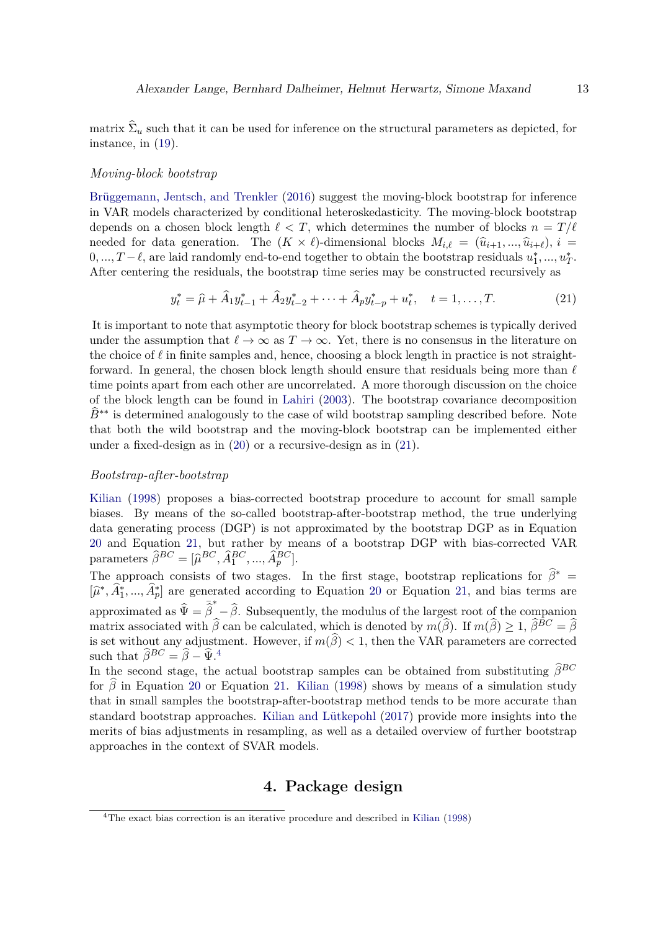matrix  $\Sigma_u$  such that it can be used for inference on the structural parameters as depicted, for instance, in [\(19\)](#page-10-0).

#### *Moving-block bootstrap*

[Brüggemann, Jentsch, and Trenkler](#page-29-9) [\(2016\)](#page-29-9) suggest the moving-block bootstrap for inference in VAR models characterized by conditional heteroskedasticity. The moving-block bootstrap depends on a chosen block length  $\ell < T$ , which determines the number of blocks  $n = T/\ell$ needed for data generation. The  $(K \times \ell)$ -dimensional blocks  $M_{i,\ell} = (\hat{u}_{i+1},...,\hat{u}_{i+\ell}), i =$  $0, \ldots, T-\ell$ , are laid randomly end-to-end together to obtain the bootstrap residuals  $u_1^*, \ldots, u_T^*$ . After centering the residuals, the bootstrap time series may be constructed recursively as

<span id="page-12-1"></span>
$$
y_t^* = \hat{\mu} + \hat{A}_1 y_{t-1}^* + \hat{A}_2 y_{t-2}^* + \dots + \hat{A}_p y_{t-p}^* + u_t^*, \quad t = 1, \dots, T. \tag{21}
$$

It is important to note that asymptotic theory for block bootstrap schemes is typically derived under the assumption that  $\ell \to \infty$  as  $T \to \infty$ . Yet, there is no consensus in the literature on the choice of *ℓ* in finite samples and, hence, choosing a block length in practice is not straightforward. In general, the chosen block length should ensure that residuals being more than *ℓ* time points apart from each other are uncorrelated. A more thorough discussion on the choice of the block length can be found in [Lahiri](#page-31-11) [\(2003\)](#page-31-11). The bootstrap covariance decomposition  $\hat{B}^{**}$  is determined analogously to the case of wild bootstrap sampling described before. Note that both the wild bootstrap and the moving-block bootstrap can be implemented either under a fixed-design as in [\(20\)](#page-11-1) or a recursive-design as in [\(21\)](#page-12-1).

#### *Bootstrap-after-bootstrap*

[Kilian](#page-30-7) [\(1998\)](#page-30-7) proposes a bias-corrected bootstrap procedure to account for small sample biases. By means of the so-called bootstrap-after-bootstrap method, the true underlying data generating process (DGP) is not approximated by the bootstrap DGP as in Equation [20](#page-11-1) and Equation [21,](#page-12-1) but rather by means of a bootstrap DGP with bias-corrected VAR parameters  $\widehat{\beta}^{BC} = [\widehat{\mu}^{BC}, \widehat{A}_1^{BC}, ..., \widehat{A}_p^{BC}].$ 

The approach consists of two stages. In the first stage, bootstrap replications for  $\hat{\beta}^*$  $[\hat{\mu}^*, \hat{A}_1^*, ..., \hat{A}_p^*]$  are generated according to Equation [20](#page-11-1) or Equation [21,](#page-12-1) and bias terms are approximated as  $\hat{\Psi} = \hat{\vec{\beta}}^* - \hat{\beta}$ . Subsequently, the modulus of the largest root of the companion matrix associated with  $\hat{\beta}$  can be calculated, which is denoted by  $m(\hat{\beta})$ . If  $m(\hat{\beta}) \geq 1$ ,  $\hat{\beta}^{BC} = \hat{\beta}$ is set without any adjustment. However, if  $m(\beta) < 1$ , then the VAR parameters are corrected such that  $\widehat{\beta}^{BC} = \widehat{\beta} - \widehat{\Psi}$ .<sup>[4](#page-12-2)</sup>

In the second stage, the actual bootstrap samples can be obtained from substituting  $\hat{\beta}^{BC}$ for  $\hat{\beta}$  in Equation [20](#page-11-1) or Equation [21.](#page-12-1) [Kilian](#page-30-7) [\(1998\)](#page-30-7) shows by means of a simulation study that in small samples the bootstrap-after-bootstrap method tends to be more accurate than standard bootstrap approaches. [Kilian and Lütkepohl](#page-31-3) [\(2017\)](#page-31-3) provide more insights into the merits of bias adjustments in resampling, as well as a detailed overview of further bootstrap approaches in the context of SVAR models.

## **4. Package design**

<span id="page-12-2"></span><span id="page-12-0"></span><sup>4</sup>The exact bias correction is an iterative procedure and described in [Kilian](#page-30-7) [\(1998\)](#page-30-7)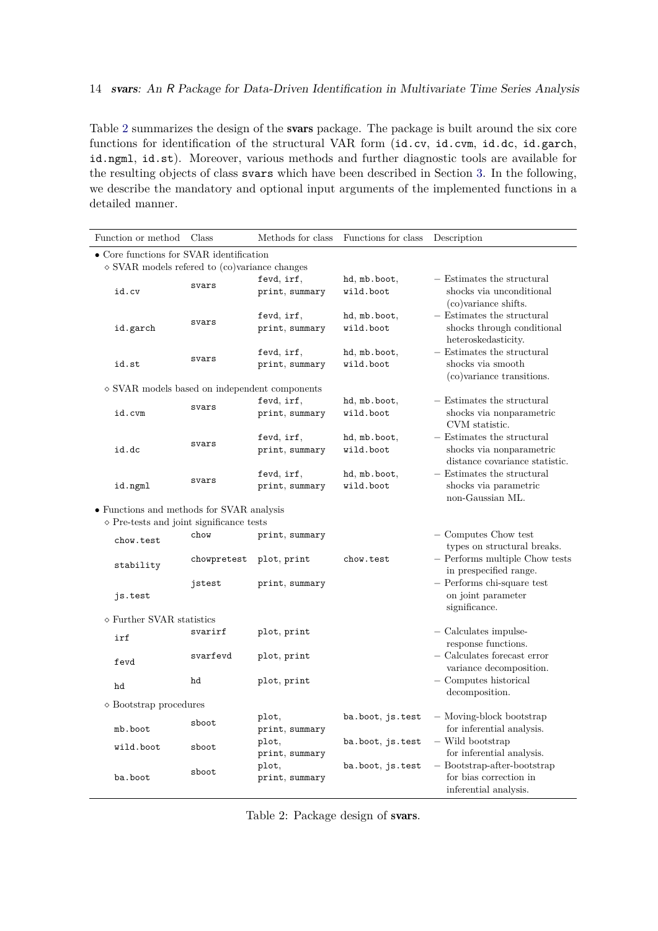Table [2](#page-13-0) summarizes the design of the svars package. The package is built around the six core functions for identification of the structural VAR form (id.cv, id.cvm, id.dc, id.garch, id.ngml, id.st). Moreover, various methods and further diagnostic tools are available for the resulting objects of class svars which have been described in Section [3.](#page-8-0) In the following, we describe the mandatory and optional input arguments of the implemented functions in a detailed manner.

| • Core functions for SVAR identification<br>$\diamond$ SVAR models refered to (co)variance changes<br>fevd, irf,<br>- Estimates the structural<br>hd, mb.boot,<br>svars<br>shocks via unconditional<br>print, summary<br>wild.boot<br>id.cv<br>(co) variance shifts.<br>- Estimates the structural<br>hd, mb.boot,<br>fevd, irf,<br>svars<br>wild.boot<br>shocks through conditional<br>id.garch<br>print, summary<br>heteroskedasticity.<br>- Estimates the structural<br>fevd, irf,<br>hd, mb.boot,<br>svars<br>shocks via smooth<br>id.st<br>print, summary<br>wild.boot<br>(co)variance transitions.<br>$\diamond$ SVAR models based on independent components<br>- Estimates the structural<br>fevd, irf,<br>hd, mb.boot,<br>svars<br>wild.boot<br>shocks via nonparametric<br>id.cvm<br>print, summary<br>CVM statistic.<br>- Estimates the structural<br>fevd, irf,<br>hd, mb.boot,<br>svars<br>wild.boot<br>shocks via nonparametric<br>id.dc<br>print, summary<br>distance covariance statistic.<br>- Estimates the structural<br>fevd, irf,<br>hd, mb.boot,<br>svars<br>shocks via parametric<br>wild.boot<br>id.ngml<br>print, summary<br>non-Gaussian ML.<br>• Functions and methods for SVAR analysis<br>$\diamond$ Pre-tests and joint significance tests<br>- Computes Chow test<br>chow<br>print, summary<br>chow.test<br>types on structural breaks.<br>$-$ Performs multiple Chow tests<br>plot, print<br>chow.test<br>chowpretest<br>stability<br>in prespecified range.<br>- Performs chi-square test<br>jstest<br>print, summary<br>on joint parameter<br>js.test<br>significance.<br>$\diamond$ Further SVAR statistics<br>$-$ Calculates impulse-<br>svarirf<br>plot, print<br>irf<br>response functions.<br>$-$ Calculates forecast error<br>svarfevd<br>plot, print<br>fevd<br>variance decomposition.<br>- Computes historical<br>hd<br>plot, print<br>hd<br>decomposition.<br>$\diamond$ Bootstrap procedures<br>- Moving-block bootstrap<br>plot,<br>ba.boot, js.test<br>sboot<br>for inferential analysis.<br>mb.boot<br>print, summary<br>$-$ Wild bootstrap<br>plot,<br>ba.boot, js.test | Function or method | Class | Methods for class | Functions for class | Description |  |  |  |  |  |
|-------------------------------------------------------------------------------------------------------------------------------------------------------------------------------------------------------------------------------------------------------------------------------------------------------------------------------------------------------------------------------------------------------------------------------------------------------------------------------------------------------------------------------------------------------------------------------------------------------------------------------------------------------------------------------------------------------------------------------------------------------------------------------------------------------------------------------------------------------------------------------------------------------------------------------------------------------------------------------------------------------------------------------------------------------------------------------------------------------------------------------------------------------------------------------------------------------------------------------------------------------------------------------------------------------------------------------------------------------------------------------------------------------------------------------------------------------------------------------------------------------------------------------------------------------------------------------------------------------------------------------------------------------------------------------------------------------------------------------------------------------------------------------------------------------------------------------------------------------------------------------------------------------------------------------------------------------------------------------------------------------------------------------------------------------------------------------------------------------------------------|--------------------|-------|-------------------|---------------------|-------------|--|--|--|--|--|
|                                                                                                                                                                                                                                                                                                                                                                                                                                                                                                                                                                                                                                                                                                                                                                                                                                                                                                                                                                                                                                                                                                                                                                                                                                                                                                                                                                                                                                                                                                                                                                                                                                                                                                                                                                                                                                                                                                                                                                                                                                                                                                                         |                    |       |                   |                     |             |  |  |  |  |  |
|                                                                                                                                                                                                                                                                                                                                                                                                                                                                                                                                                                                                                                                                                                                                                                                                                                                                                                                                                                                                                                                                                                                                                                                                                                                                                                                                                                                                                                                                                                                                                                                                                                                                                                                                                                                                                                                                                                                                                                                                                                                                                                                         |                    |       |                   |                     |             |  |  |  |  |  |
|                                                                                                                                                                                                                                                                                                                                                                                                                                                                                                                                                                                                                                                                                                                                                                                                                                                                                                                                                                                                                                                                                                                                                                                                                                                                                                                                                                                                                                                                                                                                                                                                                                                                                                                                                                                                                                                                                                                                                                                                                                                                                                                         |                    |       |                   |                     |             |  |  |  |  |  |
|                                                                                                                                                                                                                                                                                                                                                                                                                                                                                                                                                                                                                                                                                                                                                                                                                                                                                                                                                                                                                                                                                                                                                                                                                                                                                                                                                                                                                                                                                                                                                                                                                                                                                                                                                                                                                                                                                                                                                                                                                                                                                                                         |                    |       |                   |                     |             |  |  |  |  |  |
|                                                                                                                                                                                                                                                                                                                                                                                                                                                                                                                                                                                                                                                                                                                                                                                                                                                                                                                                                                                                                                                                                                                                                                                                                                                                                                                                                                                                                                                                                                                                                                                                                                                                                                                                                                                                                                                                                                                                                                                                                                                                                                                         |                    |       |                   |                     |             |  |  |  |  |  |
|                                                                                                                                                                                                                                                                                                                                                                                                                                                                                                                                                                                                                                                                                                                                                                                                                                                                                                                                                                                                                                                                                                                                                                                                                                                                                                                                                                                                                                                                                                                                                                                                                                                                                                                                                                                                                                                                                                                                                                                                                                                                                                                         |                    |       |                   |                     |             |  |  |  |  |  |
|                                                                                                                                                                                                                                                                                                                                                                                                                                                                                                                                                                                                                                                                                                                                                                                                                                                                                                                                                                                                                                                                                                                                                                                                                                                                                                                                                                                                                                                                                                                                                                                                                                                                                                                                                                                                                                                                                                                                                                                                                                                                                                                         |                    |       |                   |                     |             |  |  |  |  |  |
|                                                                                                                                                                                                                                                                                                                                                                                                                                                                                                                                                                                                                                                                                                                                                                                                                                                                                                                                                                                                                                                                                                                                                                                                                                                                                                                                                                                                                                                                                                                                                                                                                                                                                                                                                                                                                                                                                                                                                                                                                                                                                                                         |                    |       |                   |                     |             |  |  |  |  |  |
|                                                                                                                                                                                                                                                                                                                                                                                                                                                                                                                                                                                                                                                                                                                                                                                                                                                                                                                                                                                                                                                                                                                                                                                                                                                                                                                                                                                                                                                                                                                                                                                                                                                                                                                                                                                                                                                                                                                                                                                                                                                                                                                         |                    |       |                   |                     |             |  |  |  |  |  |
|                                                                                                                                                                                                                                                                                                                                                                                                                                                                                                                                                                                                                                                                                                                                                                                                                                                                                                                                                                                                                                                                                                                                                                                                                                                                                                                                                                                                                                                                                                                                                                                                                                                                                                                                                                                                                                                                                                                                                                                                                                                                                                                         |                    |       |                   |                     |             |  |  |  |  |  |
|                                                                                                                                                                                                                                                                                                                                                                                                                                                                                                                                                                                                                                                                                                                                                                                                                                                                                                                                                                                                                                                                                                                                                                                                                                                                                                                                                                                                                                                                                                                                                                                                                                                                                                                                                                                                                                                                                                                                                                                                                                                                                                                         |                    |       |                   |                     |             |  |  |  |  |  |
|                                                                                                                                                                                                                                                                                                                                                                                                                                                                                                                                                                                                                                                                                                                                                                                                                                                                                                                                                                                                                                                                                                                                                                                                                                                                                                                                                                                                                                                                                                                                                                                                                                                                                                                                                                                                                                                                                                                                                                                                                                                                                                                         |                    |       |                   |                     |             |  |  |  |  |  |
|                                                                                                                                                                                                                                                                                                                                                                                                                                                                                                                                                                                                                                                                                                                                                                                                                                                                                                                                                                                                                                                                                                                                                                                                                                                                                                                                                                                                                                                                                                                                                                                                                                                                                                                                                                                                                                                                                                                                                                                                                                                                                                                         |                    |       |                   |                     |             |  |  |  |  |  |
|                                                                                                                                                                                                                                                                                                                                                                                                                                                                                                                                                                                                                                                                                                                                                                                                                                                                                                                                                                                                                                                                                                                                                                                                                                                                                                                                                                                                                                                                                                                                                                                                                                                                                                                                                                                                                                                                                                                                                                                                                                                                                                                         |                    |       |                   |                     |             |  |  |  |  |  |
|                                                                                                                                                                                                                                                                                                                                                                                                                                                                                                                                                                                                                                                                                                                                                                                                                                                                                                                                                                                                                                                                                                                                                                                                                                                                                                                                                                                                                                                                                                                                                                                                                                                                                                                                                                                                                                                                                                                                                                                                                                                                                                                         |                    |       |                   |                     |             |  |  |  |  |  |
|                                                                                                                                                                                                                                                                                                                                                                                                                                                                                                                                                                                                                                                                                                                                                                                                                                                                                                                                                                                                                                                                                                                                                                                                                                                                                                                                                                                                                                                                                                                                                                                                                                                                                                                                                                                                                                                                                                                                                                                                                                                                                                                         |                    |       |                   |                     |             |  |  |  |  |  |
|                                                                                                                                                                                                                                                                                                                                                                                                                                                                                                                                                                                                                                                                                                                                                                                                                                                                                                                                                                                                                                                                                                                                                                                                                                                                                                                                                                                                                                                                                                                                                                                                                                                                                                                                                                                                                                                                                                                                                                                                                                                                                                                         |                    |       |                   |                     |             |  |  |  |  |  |
|                                                                                                                                                                                                                                                                                                                                                                                                                                                                                                                                                                                                                                                                                                                                                                                                                                                                                                                                                                                                                                                                                                                                                                                                                                                                                                                                                                                                                                                                                                                                                                                                                                                                                                                                                                                                                                                                                                                                                                                                                                                                                                                         |                    |       |                   |                     |             |  |  |  |  |  |
|                                                                                                                                                                                                                                                                                                                                                                                                                                                                                                                                                                                                                                                                                                                                                                                                                                                                                                                                                                                                                                                                                                                                                                                                                                                                                                                                                                                                                                                                                                                                                                                                                                                                                                                                                                                                                                                                                                                                                                                                                                                                                                                         |                    |       |                   |                     |             |  |  |  |  |  |
|                                                                                                                                                                                                                                                                                                                                                                                                                                                                                                                                                                                                                                                                                                                                                                                                                                                                                                                                                                                                                                                                                                                                                                                                                                                                                                                                                                                                                                                                                                                                                                                                                                                                                                                                                                                                                                                                                                                                                                                                                                                                                                                         |                    |       |                   |                     |             |  |  |  |  |  |
|                                                                                                                                                                                                                                                                                                                                                                                                                                                                                                                                                                                                                                                                                                                                                                                                                                                                                                                                                                                                                                                                                                                                                                                                                                                                                                                                                                                                                                                                                                                                                                                                                                                                                                                                                                                                                                                                                                                                                                                                                                                                                                                         |                    |       |                   |                     |             |  |  |  |  |  |
|                                                                                                                                                                                                                                                                                                                                                                                                                                                                                                                                                                                                                                                                                                                                                                                                                                                                                                                                                                                                                                                                                                                                                                                                                                                                                                                                                                                                                                                                                                                                                                                                                                                                                                                                                                                                                                                                                                                                                                                                                                                                                                                         |                    |       |                   |                     |             |  |  |  |  |  |
|                                                                                                                                                                                                                                                                                                                                                                                                                                                                                                                                                                                                                                                                                                                                                                                                                                                                                                                                                                                                                                                                                                                                                                                                                                                                                                                                                                                                                                                                                                                                                                                                                                                                                                                                                                                                                                                                                                                                                                                                                                                                                                                         |                    |       |                   |                     |             |  |  |  |  |  |
|                                                                                                                                                                                                                                                                                                                                                                                                                                                                                                                                                                                                                                                                                                                                                                                                                                                                                                                                                                                                                                                                                                                                                                                                                                                                                                                                                                                                                                                                                                                                                                                                                                                                                                                                                                                                                                                                                                                                                                                                                                                                                                                         |                    |       |                   |                     |             |  |  |  |  |  |
|                                                                                                                                                                                                                                                                                                                                                                                                                                                                                                                                                                                                                                                                                                                                                                                                                                                                                                                                                                                                                                                                                                                                                                                                                                                                                                                                                                                                                                                                                                                                                                                                                                                                                                                                                                                                                                                                                                                                                                                                                                                                                                                         |                    |       |                   |                     |             |  |  |  |  |  |
|                                                                                                                                                                                                                                                                                                                                                                                                                                                                                                                                                                                                                                                                                                                                                                                                                                                                                                                                                                                                                                                                                                                                                                                                                                                                                                                                                                                                                                                                                                                                                                                                                                                                                                                                                                                                                                                                                                                                                                                                                                                                                                                         |                    |       |                   |                     |             |  |  |  |  |  |
|                                                                                                                                                                                                                                                                                                                                                                                                                                                                                                                                                                                                                                                                                                                                                                                                                                                                                                                                                                                                                                                                                                                                                                                                                                                                                                                                                                                                                                                                                                                                                                                                                                                                                                                                                                                                                                                                                                                                                                                                                                                                                                                         |                    |       |                   |                     |             |  |  |  |  |  |
|                                                                                                                                                                                                                                                                                                                                                                                                                                                                                                                                                                                                                                                                                                                                                                                                                                                                                                                                                                                                                                                                                                                                                                                                                                                                                                                                                                                                                                                                                                                                                                                                                                                                                                                                                                                                                                                                                                                                                                                                                                                                                                                         |                    |       |                   |                     |             |  |  |  |  |  |
|                                                                                                                                                                                                                                                                                                                                                                                                                                                                                                                                                                                                                                                                                                                                                                                                                                                                                                                                                                                                                                                                                                                                                                                                                                                                                                                                                                                                                                                                                                                                                                                                                                                                                                                                                                                                                                                                                                                                                                                                                                                                                                                         |                    |       |                   |                     |             |  |  |  |  |  |
|                                                                                                                                                                                                                                                                                                                                                                                                                                                                                                                                                                                                                                                                                                                                                                                                                                                                                                                                                                                                                                                                                                                                                                                                                                                                                                                                                                                                                                                                                                                                                                                                                                                                                                                                                                                                                                                                                                                                                                                                                                                                                                                         |                    |       |                   |                     |             |  |  |  |  |  |
|                                                                                                                                                                                                                                                                                                                                                                                                                                                                                                                                                                                                                                                                                                                                                                                                                                                                                                                                                                                                                                                                                                                                                                                                                                                                                                                                                                                                                                                                                                                                                                                                                                                                                                                                                                                                                                                                                                                                                                                                                                                                                                                         |                    |       |                   |                     |             |  |  |  |  |  |
|                                                                                                                                                                                                                                                                                                                                                                                                                                                                                                                                                                                                                                                                                                                                                                                                                                                                                                                                                                                                                                                                                                                                                                                                                                                                                                                                                                                                                                                                                                                                                                                                                                                                                                                                                                                                                                                                                                                                                                                                                                                                                                                         |                    |       |                   |                     |             |  |  |  |  |  |
|                                                                                                                                                                                                                                                                                                                                                                                                                                                                                                                                                                                                                                                                                                                                                                                                                                                                                                                                                                                                                                                                                                                                                                                                                                                                                                                                                                                                                                                                                                                                                                                                                                                                                                                                                                                                                                                                                                                                                                                                                                                                                                                         |                    |       |                   |                     |             |  |  |  |  |  |
|                                                                                                                                                                                                                                                                                                                                                                                                                                                                                                                                                                                                                                                                                                                                                                                                                                                                                                                                                                                                                                                                                                                                                                                                                                                                                                                                                                                                                                                                                                                                                                                                                                                                                                                                                                                                                                                                                                                                                                                                                                                                                                                         |                    |       |                   |                     |             |  |  |  |  |  |
|                                                                                                                                                                                                                                                                                                                                                                                                                                                                                                                                                                                                                                                                                                                                                                                                                                                                                                                                                                                                                                                                                                                                                                                                                                                                                                                                                                                                                                                                                                                                                                                                                                                                                                                                                                                                                                                                                                                                                                                                                                                                                                                         |                    |       |                   |                     |             |  |  |  |  |  |
|                                                                                                                                                                                                                                                                                                                                                                                                                                                                                                                                                                                                                                                                                                                                                                                                                                                                                                                                                                                                                                                                                                                                                                                                                                                                                                                                                                                                                                                                                                                                                                                                                                                                                                                                                                                                                                                                                                                                                                                                                                                                                                                         |                    |       |                   |                     |             |  |  |  |  |  |
|                                                                                                                                                                                                                                                                                                                                                                                                                                                                                                                                                                                                                                                                                                                                                                                                                                                                                                                                                                                                                                                                                                                                                                                                                                                                                                                                                                                                                                                                                                                                                                                                                                                                                                                                                                                                                                                                                                                                                                                                                                                                                                                         |                    |       |                   |                     |             |  |  |  |  |  |
|                                                                                                                                                                                                                                                                                                                                                                                                                                                                                                                                                                                                                                                                                                                                                                                                                                                                                                                                                                                                                                                                                                                                                                                                                                                                                                                                                                                                                                                                                                                                                                                                                                                                                                                                                                                                                                                                                                                                                                                                                                                                                                                         |                    |       |                   |                     |             |  |  |  |  |  |
|                                                                                                                                                                                                                                                                                                                                                                                                                                                                                                                                                                                                                                                                                                                                                                                                                                                                                                                                                                                                                                                                                                                                                                                                                                                                                                                                                                                                                                                                                                                                                                                                                                                                                                                                                                                                                                                                                                                                                                                                                                                                                                                         |                    |       |                   |                     |             |  |  |  |  |  |
|                                                                                                                                                                                                                                                                                                                                                                                                                                                                                                                                                                                                                                                                                                                                                                                                                                                                                                                                                                                                                                                                                                                                                                                                                                                                                                                                                                                                                                                                                                                                                                                                                                                                                                                                                                                                                                                                                                                                                                                                                                                                                                                         |                    |       |                   |                     |             |  |  |  |  |  |
|                                                                                                                                                                                                                                                                                                                                                                                                                                                                                                                                                                                                                                                                                                                                                                                                                                                                                                                                                                                                                                                                                                                                                                                                                                                                                                                                                                                                                                                                                                                                                                                                                                                                                                                                                                                                                                                                                                                                                                                                                                                                                                                         |                    |       |                   |                     |             |  |  |  |  |  |
| sboot<br>for inferential analysis.<br>print, summary                                                                                                                                                                                                                                                                                                                                                                                                                                                                                                                                                                                                                                                                                                                                                                                                                                                                                                                                                                                                                                                                                                                                                                                                                                                                                                                                                                                                                                                                                                                                                                                                                                                                                                                                                                                                                                                                                                                                                                                                                                                                    | wild.boot          |       |                   |                     |             |  |  |  |  |  |
| $-$ Bootstrap-after-bootstrap<br>plot,<br>ba.boot, js.test                                                                                                                                                                                                                                                                                                                                                                                                                                                                                                                                                                                                                                                                                                                                                                                                                                                                                                                                                                                                                                                                                                                                                                                                                                                                                                                                                                                                                                                                                                                                                                                                                                                                                                                                                                                                                                                                                                                                                                                                                                                              |                    |       |                   |                     |             |  |  |  |  |  |
| sboot<br>for bias correction in<br>ba.boot<br>print, summary                                                                                                                                                                                                                                                                                                                                                                                                                                                                                                                                                                                                                                                                                                                                                                                                                                                                                                                                                                                                                                                                                                                                                                                                                                                                                                                                                                                                                                                                                                                                                                                                                                                                                                                                                                                                                                                                                                                                                                                                                                                            |                    |       |                   |                     |             |  |  |  |  |  |
| inferential analysis.                                                                                                                                                                                                                                                                                                                                                                                                                                                                                                                                                                                                                                                                                                                                                                                                                                                                                                                                                                                                                                                                                                                                                                                                                                                                                                                                                                                                                                                                                                                                                                                                                                                                                                                                                                                                                                                                                                                                                                                                                                                                                                   |                    |       |                   |                     |             |  |  |  |  |  |

<span id="page-13-0"></span>Table 2: Package design of svars.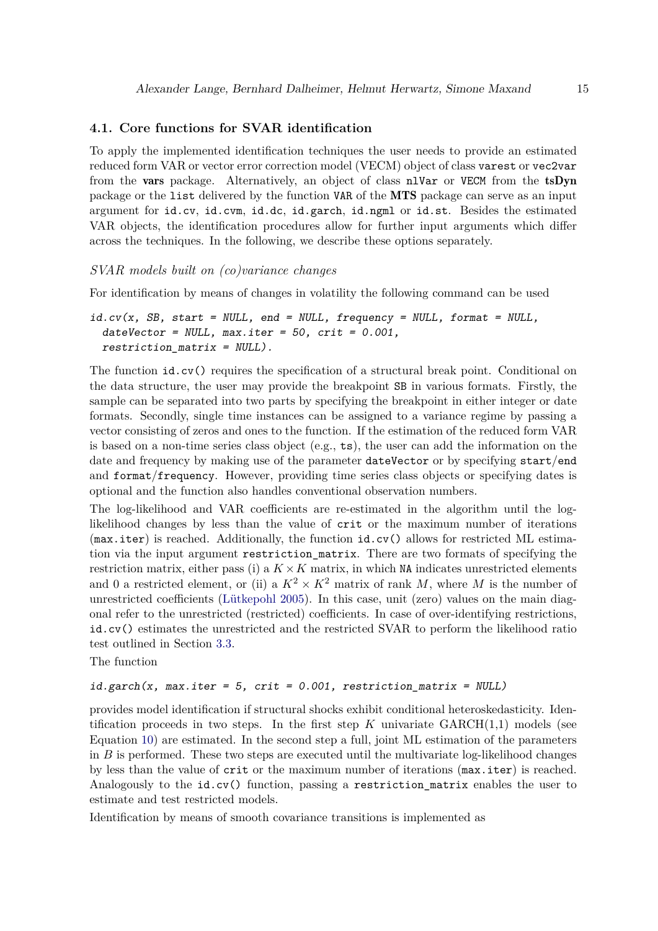## **4.1. Core functions for SVAR identification**

To apply the implemented identification techniques the user needs to provide an estimated reduced form VAR or vector error correction model (VECM) object of class varest or vec2var from the vars package. Alternatively, an object of class nlVar or VECM from the tsDyn package or the list delivered by the function VAR of the MTS package can serve as an input argument for id.cv, id.cvm, id.dc, id.garch, id.ngml or id.st. Besides the estimated VAR objects, the identification procedures allow for further input arguments which differ across the techniques. In the following, we describe these options separately.

### *SVAR models built on (co)variance changes*

For identification by means of changes in volatility the following command can be used

```
id.cv(x, SB, start = NULL, end = NULL, frequency = NULL, format = NULL,dateVector = NULL, max.iter = 50, crit = 0.001,restriction matrix = NULL).
```
The function id.cv() requires the specification of a structural break point. Conditional on the data structure, the user may provide the breakpoint SB in various formats. Firstly, the sample can be separated into two parts by specifying the breakpoint in either integer or date formats. Secondly, single time instances can be assigned to a variance regime by passing a vector consisting of zeros and ones to the function. If the estimation of the reduced form VAR is based on a non-time series class object  $(e.g., t s)$ , the user can add the information on the date and frequency by making use of the parameter dateVector or by specifying start/end and format/frequency. However, providing time series class objects or specifying dates is optional and the function also handles conventional observation numbers.

The log-likelihood and VAR coefficients are re-estimated in the algorithm until the loglikelihood changes by less than the value of crit or the maximum number of iterations (max.iter) is reached. Additionally, the function id.cv() allows for restricted ML estimation via the input argument restriction\_matrix. There are two formats of specifying the restriction matrix, either pass (i) a  $K \times K$  matrix, in which NA indicates unrestricted elements and 0 a restricted element, or (ii) a  $K^2 \times K^2$  matrix of rank *M*, where *M* is the number of unrestricted coefficients [\(Lütkepohl 2005\)](#page-31-0). In this case, unit (zero) values on the main diagonal refer to the unrestricted (restricted) coefficients. In case of over-identifying restrictions, id.cv() estimates the unrestricted and the restricted SVAR to perform the likelihood ratio test outlined in Section [3.3.](#page-9-0)

The function

## $id.garch(x, max.iter = 5, crit = 0.001, restriction_matrix = NULL)$

provides model identification if structural shocks exhibit conditional heteroskedasticity. Identification proceeds in two steps. In the first step  $K$  univariate  $GARCH(1,1)$  models (see Equation [10\)](#page-5-0) are estimated. In the second step a full, joint ML estimation of the parameters in  $B$  is performed. These two steps are executed until the multivariate log-likelihood changes by less than the value of crit or the maximum number of iterations (max.iter) is reached. Analogously to the id.cv() function, passing a restriction matrix enables the user to estimate and test restricted models.

Identification by means of smooth covariance transitions is implemented as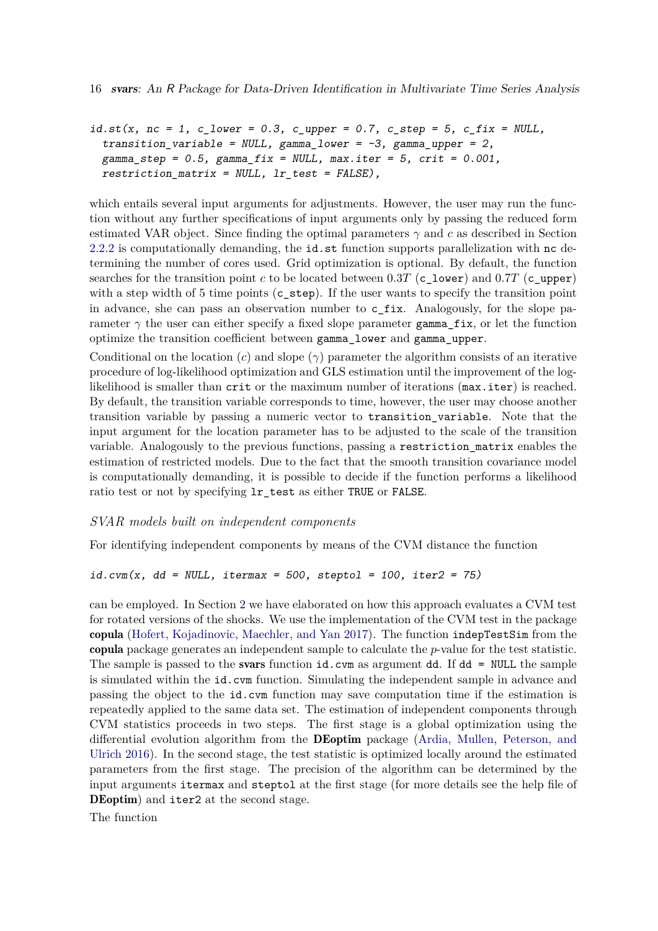```
id.st(x, nc = 1, c_lower = 0.3, c_lupper = 0.7, c_sstep = 5, c_fix = NULL,transition_variable = NULL, gamma-lower = -3, gamma-upper = 2,
 gamma_step = 0.5, gamma_fix = NULL, max.iter = 5, crit = 0.001,
 restriction_matrix = NULL, lr_test = FALSE),
```
which entails several input arguments for adjustments. However, the user may run the function without any further specifications of input arguments only by passing the reduced form estimated VAR object. Since finding the optimal parameters *γ* and *c* as described in Section [2.2.2](#page-4-3) is computationally demanding, the id.st function supports parallelization with nc determining the number of cores used. Grid optimization is optional. By default, the function searches for the transition point *c* to be located between 0.3*T* (c\_lower) and 0.7*T* (c\_upper) with a step width of 5 time points (c\_step). If the user wants to specify the transition point in advance, she can pass an observation number to  $c_f$  ix. Analogously, for the slope parameter  $\gamma$  the user can either specify a fixed slope parameter gamma\_fix, or let the function optimize the transition coefficient between gamma\_lower and gamma\_upper.

Conditional on the location (*c*) and slope (*γ*) parameter the algorithm consists of an iterative procedure of log-likelihood optimization and GLS estimation until the improvement of the loglikelihood is smaller than crit or the maximum number of iterations ( $max.iter$ ) is reached. By default, the transition variable corresponds to time, however, the user may choose another transition variable by passing a numeric vector to transition\_variable. Note that the input argument for the location parameter has to be adjusted to the scale of the transition variable. Analogously to the previous functions, passing a restriction\_matrix enables the estimation of restricted models. Due to the fact that the smooth transition covariance model is computationally demanding, it is possible to decide if the function performs a likelihood ratio test or not by specifying lr\_test as either TRUE or FALSE.

## *SVAR models built on independent components*

For identifying independent components by means of the CVM distance the function

```
id.cvm(x, dd = NULL, itermax = 500, steptol = 100, iter2 = 75)
```
can be employed. In Section [2](#page-2-0) we have elaborated on how this approach evaluates a CVM test for rotated versions of the shocks. We use the implementation of the CVM test in the package copula [\(Hofert, Kojadinovic, Maechler, and Yan 2017\)](#page-30-8). The function indepTestSim from the copula package generates an independent sample to calculate the *p*-value for the test statistic. The sample is passed to the **svars** function  $id$ . cvm as argument dd. If  $dd = NULL$  the sample is simulated within the id.cvm function. Simulating the independent sample in advance and passing the object to the id.cvm function may save computation time if the estimation is repeatedly applied to the same data set. The estimation of independent components through CVM statistics proceeds in two steps. The first stage is a global optimization using the differential evolution algorithm from the DEoptim package [\(Ardia, Mullen, Peterson, and](#page-28-1) [Ulrich 2016\)](#page-28-1). In the second stage, the test statistic is optimized locally around the estimated parameters from the first stage. The precision of the algorithm can be determined by the input arguments itermax and steptol at the first stage (for more details see the help file of DEoptim) and iter2 at the second stage.

The function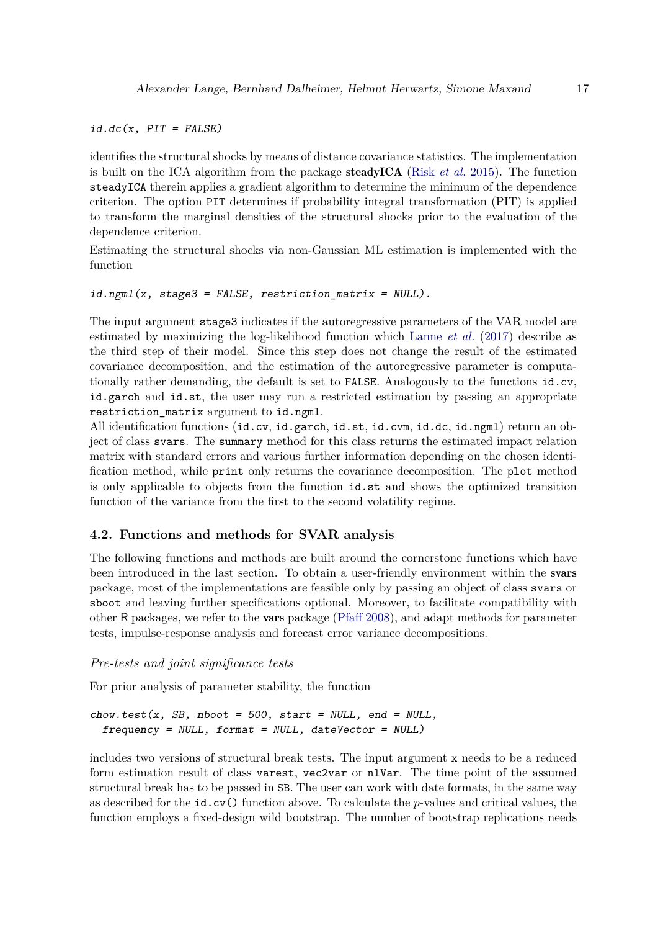$id.dc(x, PIT = FALSE)$ 

identifies the structural shocks by means of distance covariance statistics. The implementation is built on the ICA algorithm from the package steadyICA (Risk *[et al.](#page-33-8)* [2015\)](#page-33-8). The function steadyICA therein applies a gradient algorithm to determine the minimum of the dependence criterion. The option PIT determines if probability integral transformation (PIT) is applied to transform the marginal densities of the structural shocks prior to the evaluation of the dependence criterion.

Estimating the structural shocks via non-Gaussian ML estimation is implemented with the function

```
id.ngml(x, stage3 = FALSE, restriction_matrix = NULL).
```
The input argument stage3 indicates if the autoregressive parameters of the VAR model are estimated by maximizing the log-likelihood function which [Lanne](#page-31-2) *et al.* [\(2017\)](#page-31-2) describe as the third step of their model. Since this step does not change the result of the estimated covariance decomposition, and the estimation of the autoregressive parameter is computationally rather demanding, the default is set to FALSE. Analogously to the functions id.cv, id.garch and id.st, the user may run a restricted estimation by passing an appropriate restriction\_matrix argument to id.ngml.

All identification functions (id.cv, id.garch, id.st, id.cvm, id.dc, id.ngml) return an object of class svars. The summary method for this class returns the estimated impact relation matrix with standard errors and various further information depending on the chosen identification method, while print only returns the covariance decomposition. The plot method is only applicable to objects from the function id.st and shows the optimized transition function of the variance from the first to the second volatility regime.

## **4.2. Functions and methods for SVAR analysis**

The following functions and methods are built around the cornerstone functions which have been introduced in the last section. To obtain a user-friendly environment within the svars package, most of the implementations are feasible only by passing an object of class svars or sboot and leaving further specifications optional. Moreover, to facilitate compatibility with other R packages, we refer to the vars package [\(Pfaff 2008\)](#page-32-1), and adapt methods for parameter tests, impulse-response analysis and forecast error variance decompositions.

## *Pre-tests and joint significance tests*

For prior analysis of parameter stability, the function

```
chow.test(x, SB, nboot = 500, start = NULL, end = NULL,frequency = NULL, format = NULL, dateVector = NULL)
```
includes two versions of structural break tests. The input argument x needs to be a reduced form estimation result of class varest, vec2var or nlVar. The time point of the assumed structural break has to be passed in SB. The user can work with date formats, in the same way as described for the id.cv() function above. To calculate the *p*-values and critical values, the function employs a fixed-design wild bootstrap. The number of bootstrap replications needs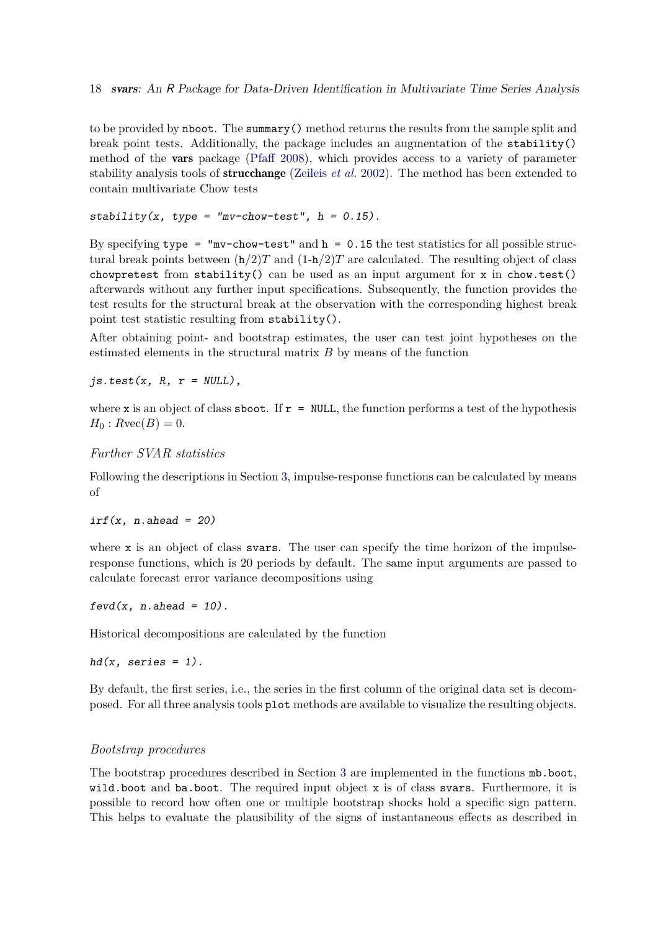to be provided by nboot. The summary() method returns the results from the sample split and break point tests. Additionally, the package includes an augmentation of the stability() method of the vars package [\(Pfaff 2008\)](#page-32-1), which provides access to a variety of parameter stability analysis tools of strucchange [\(Zeileis](#page-33-9) *et al.* [2002\)](#page-33-9). The method has been extended to contain multivariate Chow tests

```
stability(x, type = "mv-chow-test", h = 0.15).
```
By specifying type = " $mv$ -chow-test" and  $h = 0.15$  the test statistics for all possible structural break points between  $(h/2)T$  and  $(1-h/2)T$  are calculated. The resulting object of class chowpretest from stability() can be used as an input argument for x in chow.test() afterwards without any further input specifications. Subsequently, the function provides the test results for the structural break at the observation with the corresponding highest break point test statistic resulting from stability().

After obtaining point- and bootstrap estimates, the user can test joint hypotheses on the estimated elements in the structural matrix *B* by means of the function

 $js.test(x, R, r = NULL)$ ,

where x is an object of class sboot. If  $r = NULL$ , the function performs a test of the hypothesis  $H_0: Rvec(B) = 0.$ 

*Further SVAR statistics*

Following the descriptions in Section [3,](#page-8-0) impulse-response functions can be calculated by means of

```
irf(x, n. ahead = 20)
```
where x is an object of class svars. The user can specify the time horizon of the impulseresponse functions, which is 20 periods by default. The same input arguments are passed to calculate forecast error variance decompositions using

 $fevd(x, n.ahead = 10)$ .

Historical decompositions are calculated by the function

 $hd(x, series = 1)$ .

By default, the first series, i.e., the series in the first column of the original data set is decomposed. For all three analysis tools plot methods are available to visualize the resulting objects.

## *Bootstrap procedures*

The bootstrap procedures described in Section [3](#page-8-0) are implemented in the functions mb.boot, wild.boot and ba.boot. The required input object x is of class svars. Furthermore, it is possible to record how often one or multiple bootstrap shocks hold a specific sign pattern. This helps to evaluate the plausibility of the signs of instantaneous effects as described in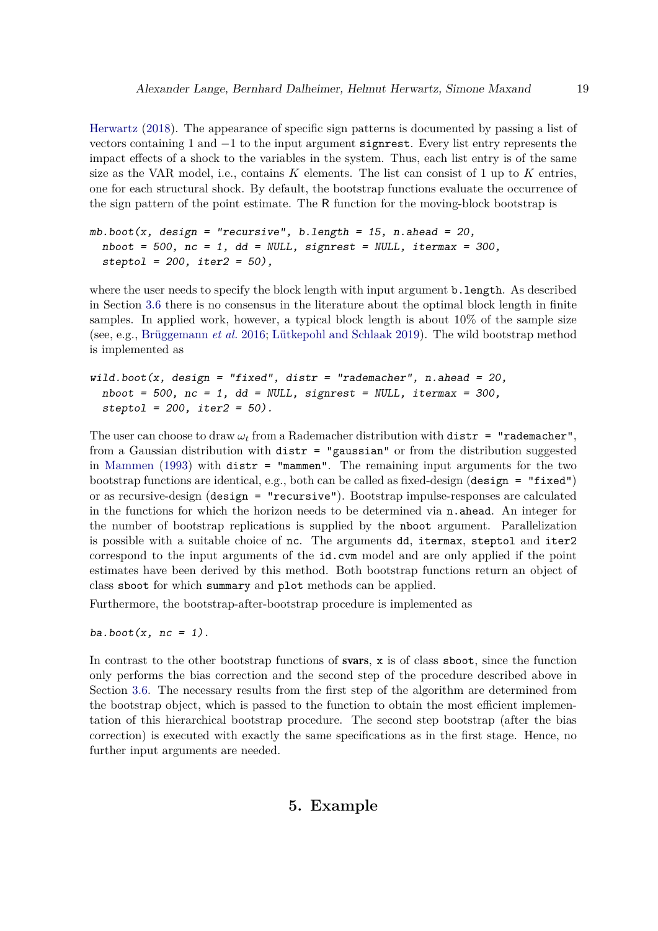[Herwartz](#page-30-0) [\(2018\)](#page-30-0). The appearance of specific sign patterns is documented by passing a list of vectors containing 1 and −1 to the input argument signrest. Every list entry represents the impact effects of a shock to the variables in the system. Thus, each list entry is of the same size as the VAR model, i.e., contains *K* elements. The list can consist of 1 up to *K* entries, one for each structural shock. By default, the bootstrap functions evaluate the occurrence of the sign pattern of the point estimate. The R function for the moving-block bootstrap is

```
mb.boot(x, design = "recursive", b.length = 15, n.ahead = 20,
 nboot = 500, nc = 1, dd = NULL, signrest = NULL, itermax = 300,
 steptol = 200, iter2 = 50),
```
where the user needs to specify the block length with input argument **b**. Length. As described in Section [3.6](#page-11-1) there is no consensus in the literature about the optimal block length in finite samples. In applied work, however, a typical block length is about  $10\%$  of the sample size (see, e.g., [Brüggemann](#page-29-9) *et al.* [2016;](#page-29-9) [Lütkepohl and Schlaak 2019\)](#page-32-11). The wild bootstrap method is implemented as

wild.boot $(x, design = "fixed", distr = "rademacher", n. ahead = 20,$  $nboot = 500$ ,  $nc = 1$ ,  $dd = NULL$ , signrest = NULL, itermax = 300,  $steptol = 200, iter2 = 50$ .

The user can choose to draw  $\omega_t$  from a Rademacher distribution with distr = "rademacher", from a Gaussian distribution with distr = "gaussian" or from the distribution suggested in [Mammen](#page-32-10) [\(1993\)](#page-32-10) with distr = "mammen". The remaining input arguments for the two bootstrap functions are identical, e.g., both can be called as fixed-design (design = "fixed") or as recursive-design (design = "recursive"). Bootstrap impulse-responses are calculated in the functions for which the horizon needs to be determined via  $n$ . ahead. An integer for the number of bootstrap replications is supplied by the nboot argument. Parallelization is possible with a suitable choice of nc. The arguments dd, itermax, steptol and iter2 correspond to the input arguments of the id.cvm model and are only applied if the point estimates have been derived by this method. Both bootstrap functions return an object of class sboot for which summary and plot methods can be applied.

Furthermore, the bootstrap-after-bootstrap procedure is implemented as

ba.boot $(x, nc = 1)$ .

<span id="page-18-0"></span>In contrast to the other bootstrap functions of **svars**,  $x$  is of class **sboot**, since the function only performs the bias correction and the second step of the procedure described above in Section [3.6.](#page-12-1) The necessary results from the first step of the algorithm are determined from the bootstrap object, which is passed to the function to obtain the most efficient implementation of this hierarchical bootstrap procedure. The second step bootstrap (after the bias correction) is executed with exactly the same specifications as in the first stage. Hence, no further input arguments are needed.

## **5. Example**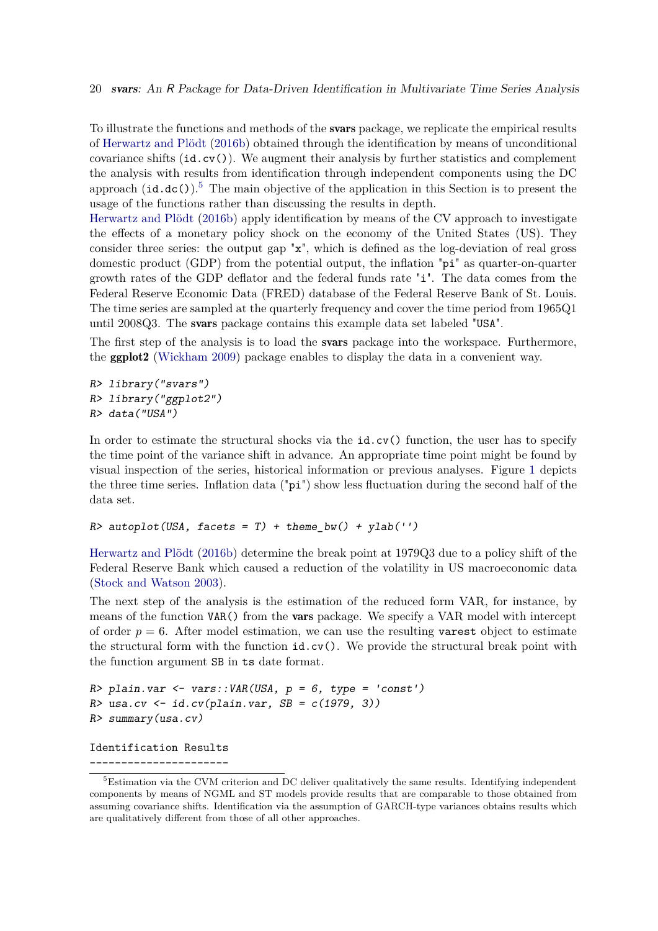To illustrate the functions and methods of the svars package, we replicate the empirical results of [Herwartz and Plödt](#page-30-5) [\(2016b\)](#page-30-5) obtained through the identification by means of unconditional covariance shifts  $(id.cv()$ . We augment their analysis by further statistics and complement the analysis with results from identification through independent components using the DC approach  $(id.dc()$ .<sup>[5](#page-19-0)</sup> The main objective of the application in this Section is to present the usage of the functions rather than discussing the results in depth.

[Herwartz and Plödt](#page-30-5) [\(2016b\)](#page-30-5) apply identification by means of the CV approach to investigate the effects of a monetary policy shock on the economy of the United States (US). They consider three series: the output gap "x", which is defined as the log-deviation of real gross domestic product (GDP) from the potential output, the inflation "pi" as quarter-on-quarter growth rates of the GDP deflator and the federal funds rate "i". The data comes from the Federal Reserve Economic Data (FRED) database of the Federal Reserve Bank of St. Louis. The time series are sampled at the quarterly frequency and cover the time period from 1965Q1 until 2008Q3. The svars package contains this example data set labeled "USA".

The first step of the analysis is to load the **svars** package into the workspace. Furthermore, the ggplot2 [\(Wickham 2009\)](#page-33-10) package enables to display the data in a convenient way.

R> library("svars") R> library("ggplot2") R> data("USA")

In order to estimate the structural shocks via the id.cv() function, the user has to specify the time point of the variance shift in advance. An appropriate time point might be found by visual inspection of the series, historical information or previous analyses. Figure [1](#page-20-0) depicts the three time series. Inflation data ("pi") show less fluctuation during the second half of the data set.

R> autoplot(USA, facets = T) + theme bw() + ylab('')

[Herwartz and Plödt](#page-30-5) [\(2016b\)](#page-30-5) determine the break point at 1979Q3 due to a policy shift of the Federal Reserve Bank which caused a reduction of the volatility in US macroeconomic data [\(Stock and Watson 2003\)](#page-33-11).

The next step of the analysis is the estimation of the reduced form VAR, for instance, by means of the function VAR() from the **vars** package. We specify a VAR model with intercept of order  $p = 6$ . After model estimation, we can use the resulting varest object to estimate the structural form with the function id.cv(). We provide the structural break point with the function argument SB in ts date format.

```
R> plain.var <- vars::VAR(USA, p = 6, type = 'const')
R> usa.cv \leftarrow id.cv(plain.var, SB = c(1979, 3))
R> summary(usa.cv)
```
Identification Results

----------------------

<span id="page-19-0"></span><sup>&</sup>lt;sup>5</sup>Estimation via the CVM criterion and DC deliver qualitatively the same results. Identifying independent components by means of NGML and ST models provide results that are comparable to those obtained from assuming covariance shifts. Identification via the assumption of GARCH-type variances obtains results which are qualitatively different from those of all other approaches.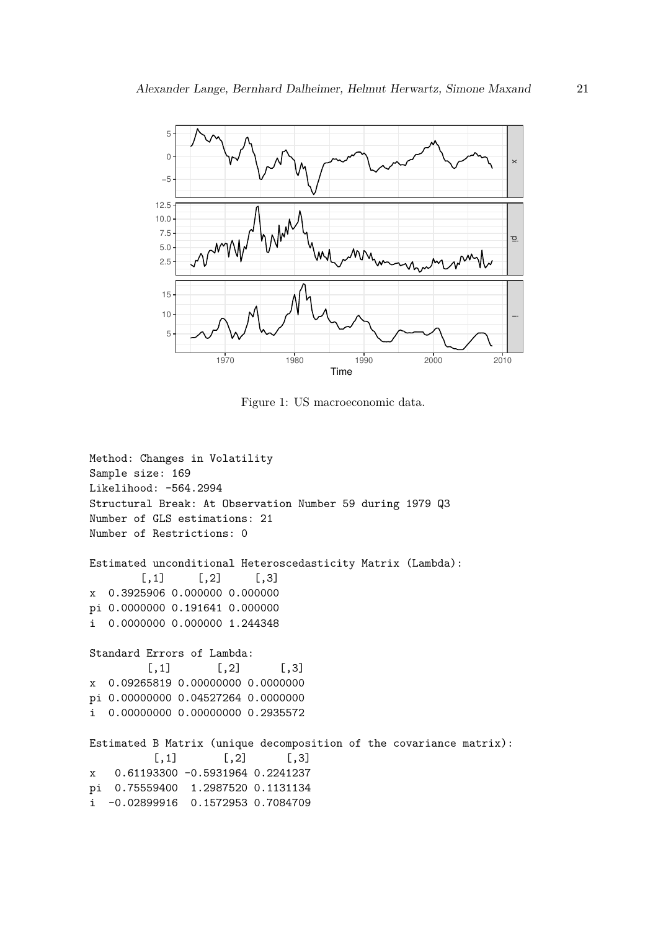

<span id="page-20-0"></span>Figure 1: US macroeconomic data.

```
Method: Changes in Volatility
Sample size: 169
Likelihood: -564.2994
Structural Break: At Observation Number 59 during 1979 Q3
Number of GLS estimations: 21
Number of Restrictions: 0
Estimated unconditional Heteroscedasticity Matrix (Lambda):
        [,1] [,2] [,3]x 0.3925906 0.000000 0.000000
pi 0.0000000 0.191641 0.000000
i 0.0000000 0.000000 1.244348
Standard Errors of Lambda:
        [0,1] [0,2] [0,3]x 0.09265819 0.00000000 0.0000000
pi 0.00000000 0.04527264 0.0000000
i 0.00000000 0.00000000 0.2935572
Estimated B Matrix (unique decomposition of the covariance matrix):
         [,1] [,2] [,3]x 0.61193300 -0.5931964 0.2241237
pi 0.75559400 1.2987520 0.1131134
i -0.02899916 0.1572953 0.7084709
```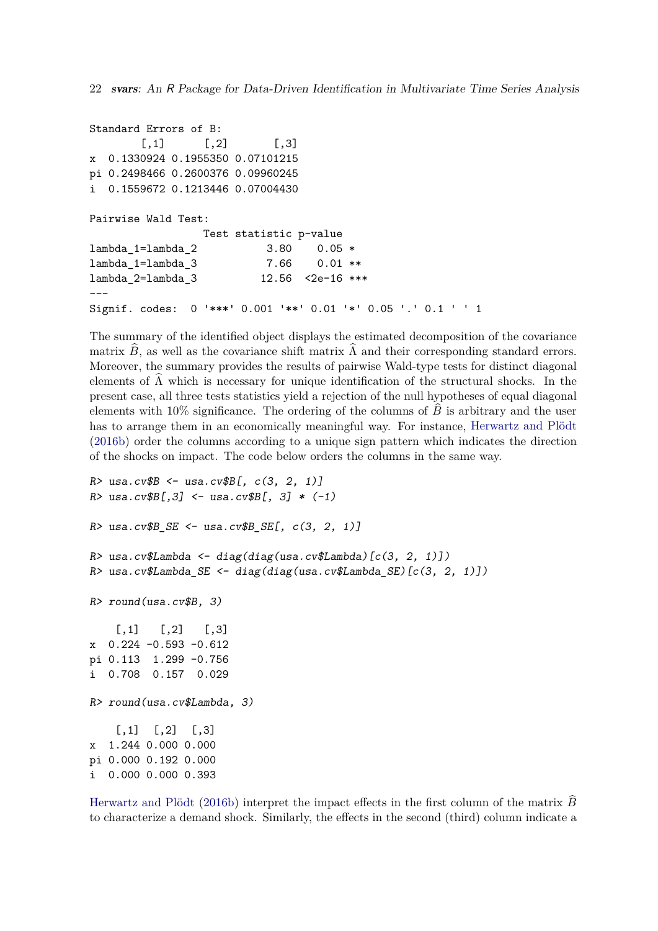```
Standard Errors of B:
       [0,1] [0,2] [0,3]x 0.1330924 0.1955350 0.07101215
pi 0.2498466 0.2600376 0.09960245
i 0.1559672 0.1213446 0.07004430
Pairwise Wald Test:
                Test statistic p-value
lambda_1=lambda_2 3.80 0.05 *
lambda_1=lambda_3 7.66 0.01 **
lambda_2=lambda_3 12.56 <2e-16 ***
---
Signif. codes: 0 '***' 0.001 '**' 0.01 '*' 0.05 '.' 0.1 ' ' 1
```
The summary of the identified object displays the estimated decomposition of the covariance matrix  $B$ , as well as the covariance shift matrix  $\Lambda$  and their corresponding standard errors. Moreover, the summary provides the results of pairwise Wald-type tests for distinct diagonal elements of  $\Lambda$  which is necessary for unique identification of the structural shocks. In the present case, all three tests statistics yield a rejection of the null hypotheses of equal diagonal elements with  $10\%$  significance. The ordering of the columns of  $\overline{B}$  is arbitrary and the user has to arrange them in an economically meaningful way. For instance, [Herwartz and Plödt](#page-30-5) [\(2016b\)](#page-30-5) order the columns according to a unique sign pattern which indicates the direction of the shocks on impact. The code below orders the columns in the same way.

```
R > usa.cv$B <- usa.cv$B[, c(3, 2, 1)]
R > usa.cv$B[,3] <- usa.cv$B[, 3] * (-1)
R> usa.cv$B_SE <- usa.cv$B_SE[, c(3, 2, 1)]
R> usa.cv$Lambda <- diag(diag(usa.cv$Lambda)[c(3, 2, 1)])
R> usa.cv$Lambda_SE <- diag(diag(usa.cv$Lambda_SE)[c(3, 2, 1)])
R> round(usa.cv$B, 3)
    [,1] [,2] [,3]x 0.224 -0.593 -0.612
pi 0.113 1.299 -0.756
i 0.708 0.157 0.029
R> round(usa.cv$Lambda, 3)
    [,1] [,2] [,3]x 1.244 0.000 0.000
pi 0.000 0.192 0.000
i 0.000 0.000 0.393
```
[Herwartz and Plödt](#page-30-5) [\(2016b\)](#page-30-5) interpret the impact effects in the first column of the matrix  $\hat{B}$ to characterize a demand shock. Similarly, the effects in the second (third) column indicate a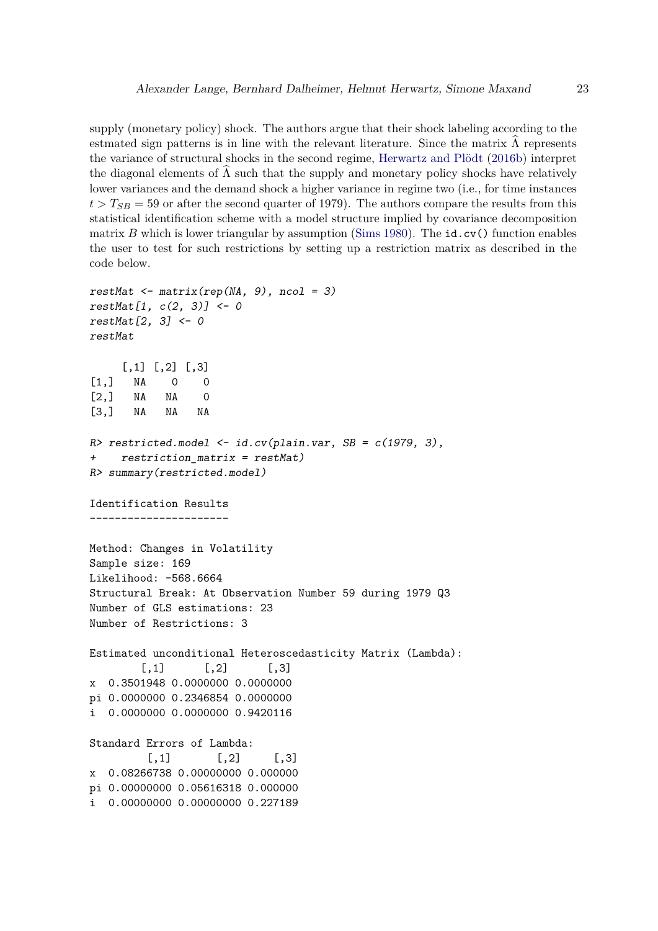supply (monetary policy) shock. The authors argue that their shock labeling according to the estmated sign patterns is in line with the relevant literature. Since the matrix  $\Lambda$  represents the variance of structural shocks in the second regime, [Herwartz and Plödt](#page-30-5) [\(2016b\)](#page-30-5) interpret the diagonal elements of  $\Lambda$  such that the supply and monetary policy shocks have relatively lower variances and the demand shock a higher variance in regime two (i.e., for time instances  $t > T_{SB} = 59$  or after the second quarter of 1979). The authors compare the results from this statistical identification scheme with a model structure implied by covariance decomposition matrix  $B$  which is lower triangular by assumption [\(Sims 1980\)](#page-33-0). The  $id.cv()$  function enables the user to test for such restrictions by setting up a restriction matrix as described in the code below.

```
restMat \leq matrix(rep(NA, 9), ncol = 3)
restMat[1, c(2, 3)] <- 0
restMat[2, 3] < -0restMat
     [,1] [,2] [,3][1,] NA 0 0
[2,] NA NA 0
[3,] NA NA NA
R> restricted.model \leq id.cv(plain.var, SB = c(1979, 3),
+ restriction matrix = restMat)
R> summary(restricted.model)
Identification Results
----------------------
Method: Changes in Volatility
Sample size: 169
Likelihood: -568.6664
Structural Break: At Observation Number 59 during 1979 Q3
Number of GLS estimations: 23
Number of Restrictions: 3
Estimated unconditional Heteroscedasticity Matrix (Lambda):
        [0,1] [0,2] [0,3]x 0.3501948 0.0000000 0.0000000
pi 0.0000000 0.2346854 0.0000000
i 0.0000000 0.0000000 0.9420116
Standard Errors of Lambda:
         [0,1] [0,2] [0,3]x 0.08266738 0.00000000 0.000000
pi 0.00000000 0.05616318 0.000000
i 0.00000000 0.00000000 0.227189
```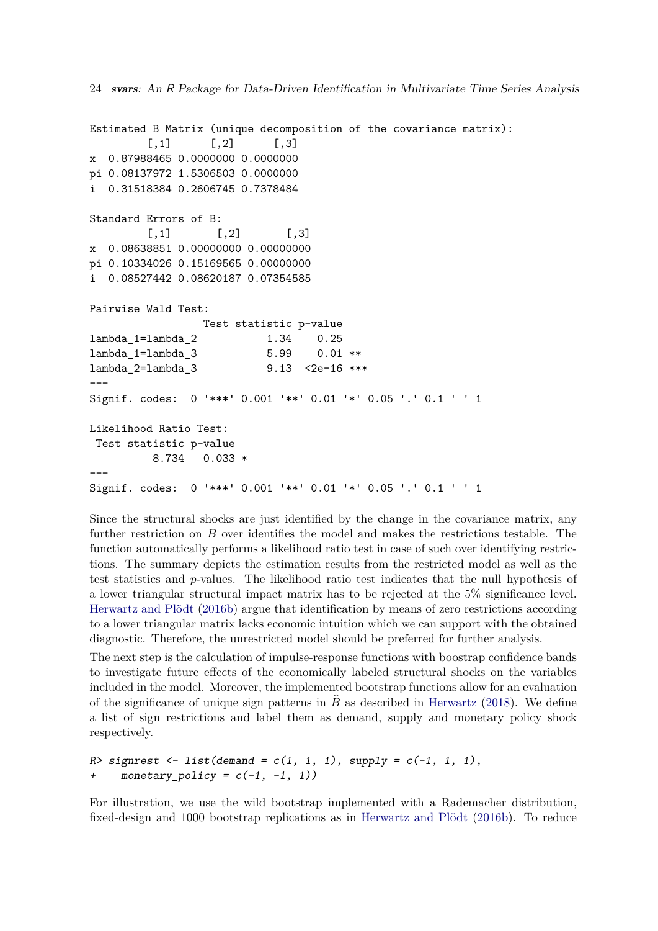```
24 svars: An R Package for Data-Driven Identification in Multivariate Time Series Analysis
```

```
Estimated B Matrix (unique decomposition of the covariance matrix):
        [,1] [,2] [,3]x 0.87988465 0.0000000 0.0000000
pi 0.08137972 1.5306503 0.0000000
i 0.31518384 0.2606745 0.7378484
Standard Errors of B:
        [,1] [,2] [,3]x 0.08638851 0.00000000 0.00000000
pi 0.10334026 0.15169565 0.00000000
i 0.08527442 0.08620187 0.07354585
Pairwise Wald Test:
                Test statistic p-value
lambda_1=lambda_2 1.34 0.25
lambda_1=lambda_3 5.99 0.01 **
lambda_2=lambda_3 9.13 <2e-16 ***
---
Signif. codes: 0 '***' 0.001 '**' 0.01 '*' 0.05 '.' 0.1 ' ' 1
Likelihood Ratio Test:
 Test statistic p-value
         8.734 0.033 *
---
Signif. codes: 0 '***' 0.001 '**' 0.01 '*' 0.05 '.' 0.1 ' ' 1
```
Since the structural shocks are just identified by the change in the covariance matrix, any further restriction on *B* over identifies the model and makes the restrictions testable. The function automatically performs a likelihood ratio test in case of such over identifying restrictions. The summary depicts the estimation results from the restricted model as well as the test statistics and *p*-values. The likelihood ratio test indicates that the null hypothesis of a lower triangular structural impact matrix has to be rejected at the 5% significance level. [Herwartz and Plödt](#page-30-5) [\(2016b\)](#page-30-5) argue that identification by means of zero restrictions according to a lower triangular matrix lacks economic intuition which we can support with the obtained diagnostic. Therefore, the unrestricted model should be preferred for further analysis.

The next step is the calculation of impulse-response functions with boostrap confidence bands to investigate future effects of the economically labeled structural shocks on the variables included in the model. Moreover, the implemented bootstrap functions allow for an evaluation of the significance of unique sign patterns in  $\hat{B}$  as described in [Herwartz](#page-30-0) [\(2018\)](#page-30-0). We define a list of sign restrictions and label them as demand, supply and monetary policy shock respectively.

```
R> signrest <- list(demand = c(1, 1, 1), supply = c(-1, 1, 1),
+ monetary_policy = c(-1, -1, 1))
```
For illustration, we use the wild bootstrap implemented with a Rademacher distribution, fixed-design and 1000 bootstrap replications as in [Herwartz and Plödt](#page-30-5) [\(2016b\)](#page-30-5). To reduce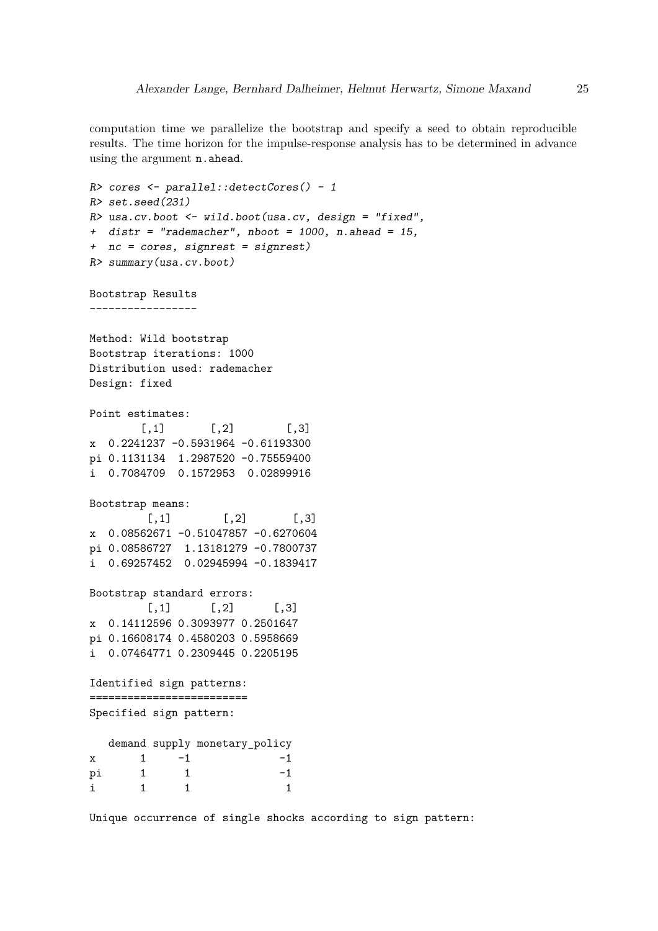computation time we parallelize the bootstrap and specify a seed to obtain reproducible results. The time horizon for the impulse-response analysis has to be determined in advance using the argument n.ahead.

```
R> cores <- parallel::detectCores() - 1
R> set.seed(231)
R> usa.cv.boot \leq wild.boot(usa.cv, design = "fixed",
+ distr = "rademacher", nboot = 1000, n.ahead = 15,
+ nc = cores, signrest = signrest)
R> summary(usa.cv.boot)
Bootstrap Results
-----------------
Method: Wild bootstrap
Bootstrap iterations: 1000
Distribution used: rademacher
Design: fixed
Point estimates:
       [0,1] [0,2] [0,3]x 0.2241237 -0.5931964 -0.61193300
pi 0.1131134 1.2987520 -0.75559400
i 0.7084709 0.1572953 0.02899916
Bootstrap means:
        [,1] [,2] [,3]
x 0.08562671 -0.51047857 -0.6270604
pi 0.08586727 1.13181279 -0.7800737
i 0.69257452 0.02945994 -0.1839417
Bootstrap standard errors:
        [0,1] [0,2] [0,3]x 0.14112596 0.3093977 0.2501647
pi 0.16608174 0.4580203 0.5958669
i 0.07464771 0.2309445 0.2205195
Identified sign patterns:
=========================
Specified sign pattern:
  demand supply monetary_policy
x \t 1 \t -1 -1
pi 1 1 -1
i 1 1 1
```
Unique occurrence of single shocks according to sign pattern: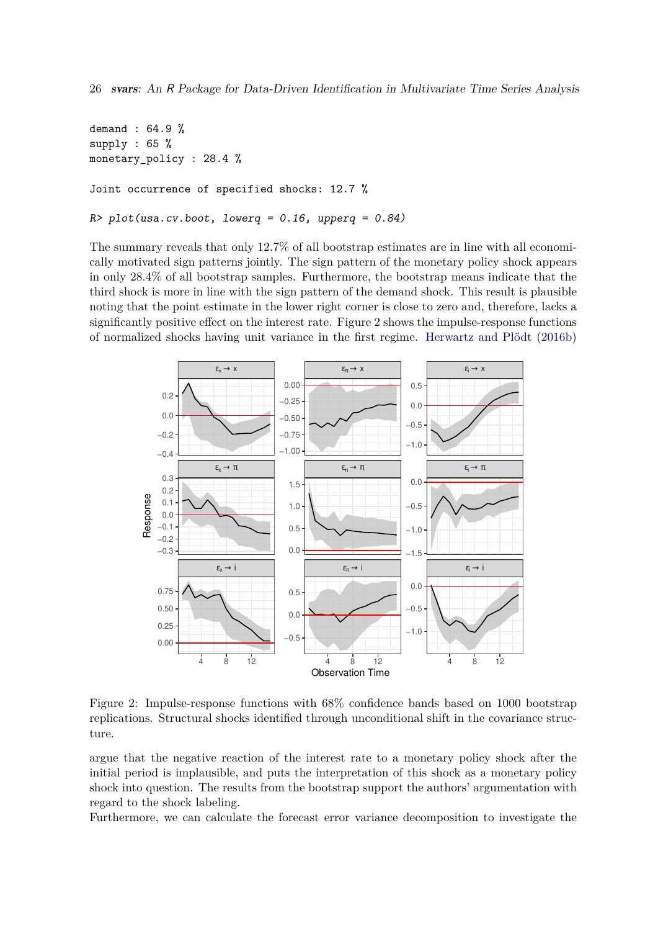```
demand : 64.9 %
supply : 65 %
monetary_policy : 28.4 %
Joint occurrence of specified shocks: 12.7 %
R> plot(usa.cv.boot, lowerq = 0.16, upperq = 0.84)
```
The summary reveals that only 12*.*7% of all bootstrap estimates are in line with all economically motivated sign patterns jointly. The sign pattern of the monetary policy shock appears in only 28*.*4% of all bootstrap samples. Furthermore, the bootstrap means indicate that the third shock is more in line with the sign pattern of the demand shock. This result is plausible noting that the point estimate in the lower right corner is close to zero and, therefore, lacks a significantly positive effect on the interest rate. Figure [2](#page-25-0) shows the impulse-response functions of normalized shocks having unit variance in the first regime. [Herwartz and Plödt](#page-30-5) [\(2016b\)](#page-30-5)



<span id="page-25-0"></span>Figure 2: Impulse-response functions with 68% confidence bands based on 1000 bootstrap replications. Structural shocks identified through unconditional shift in the covariance structure.

argue that the negative reaction of the interest rate to a monetary policy shock after the initial period is implausible, and puts the interpretation of this shock as a monetary policy shock into question. The results from the bootstrap support the authors' argumentation with regard to the shock labeling.

Furthermore, we can calculate the forecast error variance decomposition to investigate the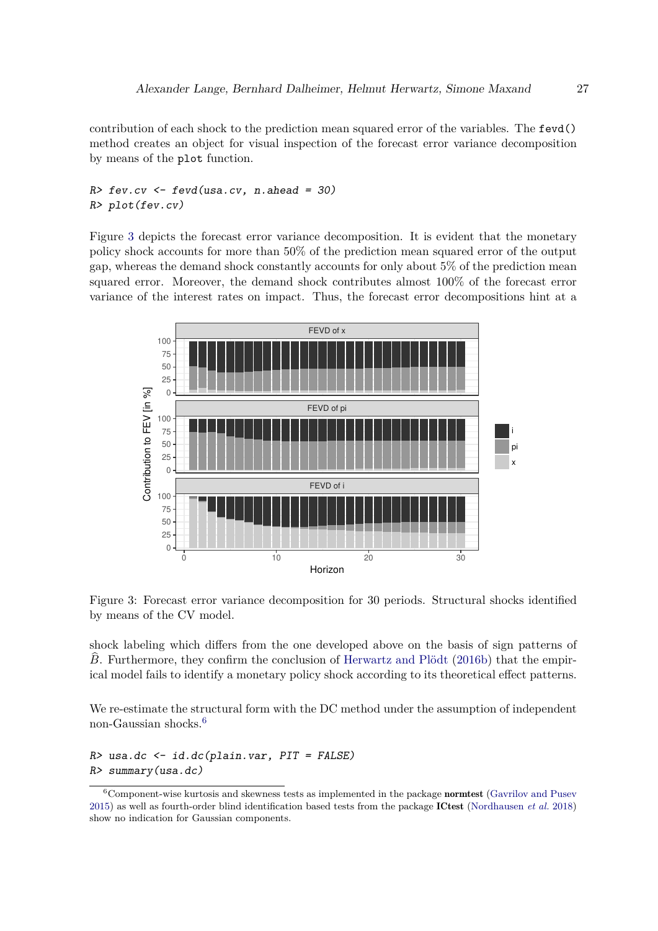contribution of each shock to the prediction mean squared error of the variables. The fevd() method creates an object for visual inspection of the forecast error variance decomposition by means of the plot function.

## $R >$  fev.cv  $\leq$  fevd(usa.cv, n.ahead = 30) R> plot(fev.cv)

Figure [3](#page-26-0) depicts the forecast error variance decomposition. It is evident that the monetary policy shock accounts for more than 50% of the prediction mean squared error of the output gap, whereas the demand shock constantly accounts for only about 5% of the prediction mean squared error. Moreover, the demand shock contributes almost 100% of the forecast error variance of the interest rates on impact. Thus, the forecast error decompositions hint at a



<span id="page-26-0"></span>Figure 3: Forecast error variance decomposition for 30 periods. Structural shocks identified by means of the CV model.

shock labeling which differs from the one developed above on the basis of sign patterns of *B*. Furthermore, they confirm the conclusion of [Herwartz and Plödt](#page-30-5) [\(2016b\)](#page-30-5) that the empirical model fails to identify a monetary policy shock according to its theoretical effect patterns.

We re-estimate the structural form with the DC method under the assumption of independent non-Gaussian shocks.[6](#page-26-1)

 $R$ > usa.dc <- id.dc(plain.var,  $PIT = FALSE$ ) R> summary(usa.dc)

<span id="page-26-1"></span> $6$ Component-wise kurtosis and skewness tests as implemented in the package **normtest** [\(Gavrilov and Pusev](#page-29-6) [2015\)](#page-29-6) as well as fourth-order blind identification based tests from the package ICtest [\(Nordhausen](#page-32-8) *et al.* [2018\)](#page-32-8) show no indication for Gaussian components.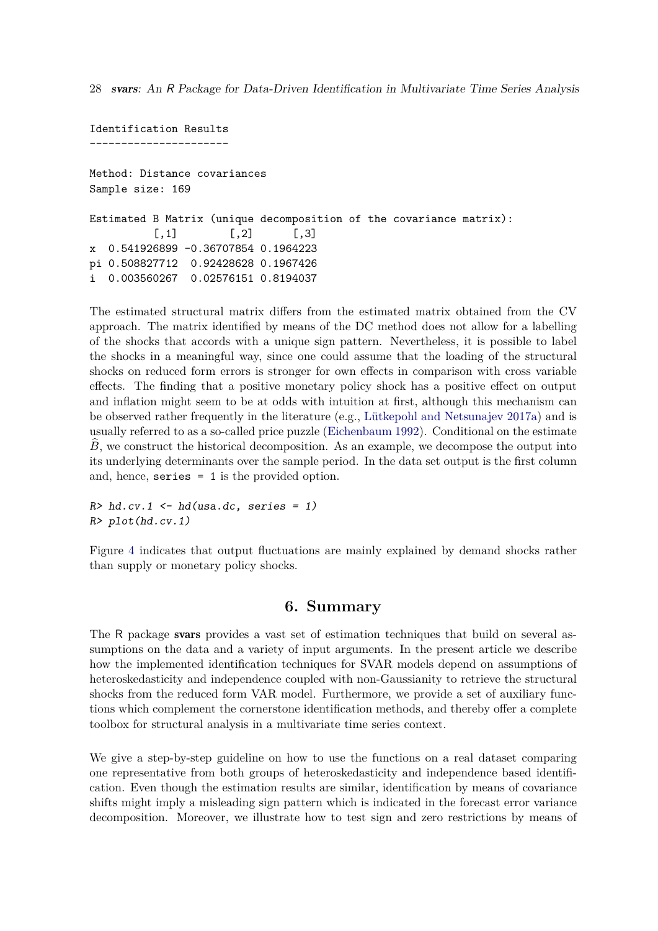Identification Results ---------------------- Method: Distance covariances Sample size: 169 Estimated B Matrix (unique decomposition of the covariance matrix):  $[$ ,1]  $[$ ,2]  $[$ ,3] x 0.541926899 -0.36707854 0.1964223 pi 0.508827712 0.92428628 0.1967426 i 0.003560267 0.02576151 0.8194037

The estimated structural matrix differs from the estimated matrix obtained from the CV approach. The matrix identified by means of the DC method does not allow for a labelling of the shocks that accords with a unique sign pattern. Nevertheless, it is possible to label the shocks in a meaningful way, since one could assume that the loading of the structural shocks on reduced form errors is stronger for own effects in comparison with cross variable effects. The finding that a positive monetary policy shock has a positive effect on output and inflation might seem to be at odds with intuition at first, although this mechanism can be observed rather frequently in the literature (e.g., [Lütkepohl and Netsunajev 2017a\)](#page-31-7) and is usually referred to as a so-called price puzzle [\(Eichenbaum 1992\)](#page-29-10). Conditional on the estimate *B*, we construct the historical decomposition. As an example, we decompose the output into its underlying determinants over the sample period. In the data set output is the first column and, hence, series = 1 is the provided option.

```
R>hd.cv.1 \leftarrow hd(usa.dc, series = 1)R> plot(hd.cv.1)
```
Figure [4](#page-28-2) indicates that output fluctuations are mainly explained by demand shocks rather than supply or monetary policy shocks.

## **6. Summary**

The R package svars provides a vast set of estimation techniques that build on several assumptions on the data and a variety of input arguments. In the present article we describe how the implemented identification techniques for SVAR models depend on assumptions of heteroskedasticity and independence coupled with non-Gaussianity to retrieve the structural shocks from the reduced form VAR model. Furthermore, we provide a set of auxiliary functions which complement the cornerstone identification methods, and thereby offer a complete toolbox for structural analysis in a multivariate time series context.

We give a step-by-step guideline on how to use the functions on a real dataset comparing one representative from both groups of heteroskedasticity and independence based identification. Even though the estimation results are similar, identification by means of covariance shifts might imply a misleading sign pattern which is indicated in the forecast error variance decomposition. Moreover, we illustrate how to test sign and zero restrictions by means of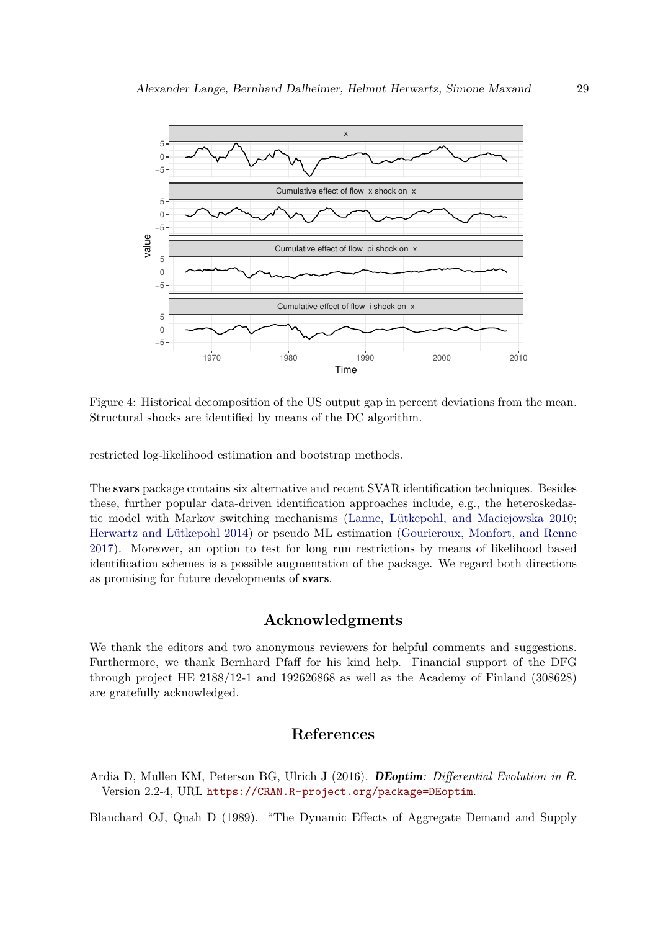

<span id="page-28-2"></span>Figure 4: Historical decomposition of the US output gap in percent deviations from the mean. Structural shocks are identified by means of the DC algorithm.

restricted log-likelihood estimation and bootstrap methods.

The svars package contains six alternative and recent SVAR identification techniques. Besides these, further popular data-driven identification approaches include, e.g., the heteroskedastic model with Markov switching mechanisms [\(Lanne, Lütkepohl, and Maciejowska 2010;](#page-31-12) [Herwartz and Lütkepohl 2014\)](#page-30-9) or pseudo ML estimation [\(Gourieroux, Monfort, and Renne](#page-30-10) [2017\)](#page-30-10). Moreover, an option to test for long run restrictions by means of likelihood based identification schemes is a possible augmentation of the package. We regard both directions as promising for future developments of svars.

## **Acknowledgments**

We thank the editors and two anonymous reviewers for helpful comments and suggestions. Furthermore, we thank Bernhard Pfaff for his kind help. Financial support of the DFG through project HE 2188/12-1 and 192626868 as well as the Academy of Finland (308628) are gratefully acknowledged.

## **References**

<span id="page-28-1"></span>Ardia D, Mullen KM, Peterson BG, Ulrich J (2016). DEoptim*: Differential Evolution in* R. Version 2.2-4, URL <https://CRAN.R-project.org/package=DEoptim>.

<span id="page-28-0"></span>Blanchard OJ, Quah D (1989). "The Dynamic Effects of Aggregate Demand and Supply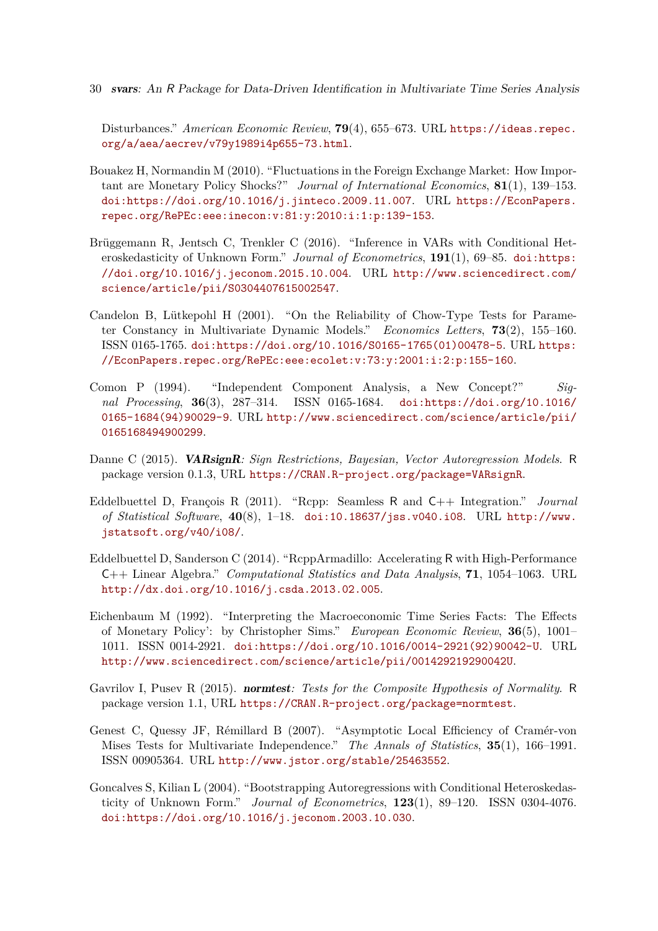Disturbances." *American Economic Review*, **79**(4), 655–673. URL [https://ideas.repec.](https://ideas.repec.org/a/aea/aecrev/v79y1989i4p655-73.html) [org/a/aea/aecrev/v79y1989i4p655-73.html](https://ideas.repec.org/a/aea/aecrev/v79y1989i4p655-73.html).

- <span id="page-29-1"></span>Bouakez H, Normandin M (2010). "Fluctuations in the Foreign Exchange Market: How Important are Monetary Policy Shocks?" *Journal of International Economics*, **81**(1), 139–153. [doi:https://doi.org/10.1016/j.jinteco.2009.11.007](http://dx.doi.org/https://doi.org/10.1016/j.jinteco.2009.11.007). URL [https://EconPapers.](https://EconPapers.repec.org/RePEc:eee:inecon:v:81:y:2010:i:1:p:139-153) [repec.org/RePEc:eee:inecon:v:81:y:2010:i:1:p:139-153](https://EconPapers.repec.org/RePEc:eee:inecon:v:81:y:2010:i:1:p:139-153).
- <span id="page-29-9"></span>Brüggemann R, Jentsch C, Trenkler C (2016). "Inference in VARs with Conditional Heteroskedasticity of Unknown Form." *Journal of Econometrics*, 191(1), 69–85. [doi:https:](http://dx.doi.org/https://doi.org/10.1016/j.jeconom.2015.10.004) [//doi.org/10.1016/j.jeconom.2015.10.004](http://dx.doi.org/https://doi.org/10.1016/j.jeconom.2015.10.004). URL [http://www.sciencedirect.com/](http://www.sciencedirect.com/science/article/pii/S0304407615002547) [science/article/pii/S0304407615002547](http://www.sciencedirect.com/science/article/pii/S0304407615002547).
- <span id="page-29-7"></span>Candelon B, Lütkepohl H (2001). "On the Reliability of Chow-Type Tests for Parameter Constancy in Multivariate Dynamic Models." *Economics Letters*, **73**(2), 155–160. ISSN 0165-1765. [doi:https://doi.org/10.1016/S0165-1765\(01\)00478-5](http://dx.doi.org/https://doi.org/10.1016/S0165-1765(01)00478-5). URL [https:](https://EconPapers.repec.org/RePEc:eee:ecolet:v:73:y:2001:i:2:p:155-160) [//EconPapers.repec.org/RePEc:eee:ecolet:v:73:y:2001:i:2:p:155-160](https://EconPapers.repec.org/RePEc:eee:ecolet:v:73:y:2001:i:2:p:155-160).
- <span id="page-29-4"></span>Comon P (1994). "Independent Component Analysis, a New Concept?" *Signal Processing*, **36**(3), 287–314. ISSN 0165-1684. [doi:https://doi.org/10.1016/](http://dx.doi.org/https://doi.org/10.1016/0165-1684(94)90029-9) [0165-1684\(94\)90029-9](http://dx.doi.org/https://doi.org/10.1016/0165-1684(94)90029-9). URL [http://www.sciencedirect.com/science/article/pii/](http://www.sciencedirect.com/science/article/pii/0165168494900299) [0165168494900299](http://www.sciencedirect.com/science/article/pii/0165168494900299).
- <span id="page-29-0"></span>Danne C (2015). VARsignR*: Sign Restrictions, Bayesian, Vector Autoregression Models*. R package version 0.1.3, URL <https://CRAN.R-project.org/package=VARsignR>.
- <span id="page-29-2"></span>Eddelbuettel D, François R (2011). "Rcpp: Seamless R and C++ Integration." *Journal of Statistical Software*, **40**(8), 1–18. [doi:10.18637/jss.v040.i08](http://dx.doi.org/10.18637/jss.v040.i08). URL [http://www.](http://www.jstatsoft.org/v40/i08/) [jstatsoft.org/v40/i08/](http://www.jstatsoft.org/v40/i08/).
- <span id="page-29-3"></span>Eddelbuettel D, Sanderson C (2014). "RcppArmadillo: Accelerating R with High-Performance C++ Linear Algebra." *Computational Statistics and Data Analysis*, **71**, 1054–1063. URL <http://dx.doi.org/10.1016/j.csda.2013.02.005>.
- <span id="page-29-10"></span>Eichenbaum M (1992). "Interpreting the Macroeconomic Time Series Facts: The Effects of Monetary Policy': by Christopher Sims." *European Economic Review*, **36**(5), 1001– 1011. ISSN 0014-2921. [doi:https://doi.org/10.1016/0014-2921\(92\)90042-U](http://dx.doi.org/https://doi.org/10.1016/0014-2921(92)90042-U). URL <http://www.sciencedirect.com/science/article/pii/001429219290042U>.
- <span id="page-29-6"></span>Gavrilov I, Pusev R (2015). normtest*: Tests for the Composite Hypothesis of Normality*. R package version 1.1, URL <https://CRAN.R-project.org/package=normtest>.
- <span id="page-29-5"></span>Genest C, Quessy JF, Rémillard B (2007). "Asymptotic Local Efficiency of Cramér-von Mises Tests for Multivariate Independence." *The Annals of Statistics*, **35**(1), 166–1991. ISSN 00905364. URL <http://www.jstor.org/stable/25463552>.
- <span id="page-29-8"></span>Goncalves S, Kilian L (2004). "Bootstrapping Autoregressions with Conditional Heteroskedasticity of Unknown Form." *Journal of Econometrics*, **123**(1), 89–120. ISSN 0304-4076. [doi:https://doi.org/10.1016/j.jeconom.2003.10.030](http://dx.doi.org/https://doi.org/10.1016/j.jeconom.2003.10.030).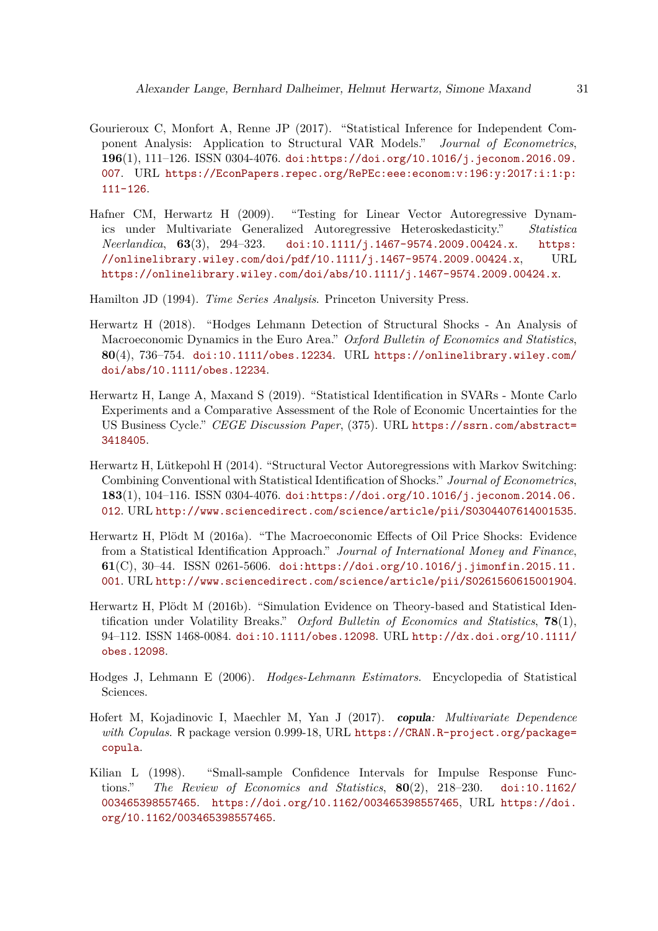- <span id="page-30-10"></span>Gourieroux C, Monfort A, Renne JP (2017). "Statistical Inference for Independent Component Analysis: Application to Structural VAR Models." *Journal of Econometrics*, **196**(1), 111–126. ISSN 0304-4076. [doi:https://doi.org/10.1016/j.jeconom.2016.09.](http://dx.doi.org/https://doi.org/10.1016/j.jeconom.2016.09.007) [007](http://dx.doi.org/https://doi.org/10.1016/j.jeconom.2016.09.007). URL [https://EconPapers.repec.org/RePEc:eee:econom:v:196:y:2017:i:1:p:](https://EconPapers.repec.org/RePEc:eee:econom:v:196:y:2017:i:1:p:111-126) [111-126](https://EconPapers.repec.org/RePEc:eee:econom:v:196:y:2017:i:1:p:111-126).
- <span id="page-30-6"></span>Hafner CM, Herwartz H (2009). "Testing for Linear Vector Autoregressive Dynamics under Multivariate Generalized Autoregressive Heteroskedasticity." *Statistica Neerlandica*, **63**(3), 294–323. [doi:10.1111/j.1467-9574.2009.00424.x](http://dx.doi.org/10.1111/j.1467-9574.2009.00424.x). [https:](https://onlinelibrary.wiley.com/doi/pdf/10.1111/j.1467-9574.2009.00424.x)  $\frac{1}{100}$  [//onlinelibrary.wiley.com/doi/pdf/10.1111/j.1467-9574.2009.00424.x](https://onlinelibrary.wiley.com/doi/pdf/10.1111/j.1467-9574.2009.00424.x), URL <https://onlinelibrary.wiley.com/doi/abs/10.1111/j.1467-9574.2009.00424.x>.

<span id="page-30-1"></span>Hamilton JD (1994). *Time Series Analysis*. Princeton University Press.

- <span id="page-30-0"></span>Herwartz H (2018). "Hodges Lehmann Detection of Structural Shocks - An Analysis of Macroeconomic Dynamics in the Euro Area." *Oxford Bulletin of Economics and Statistics*, **80**(4), 736–754. [doi:10.1111/obes.12234](http://dx.doi.org/10.1111/obes.12234). URL [https://onlinelibrary.wiley.com/](https://onlinelibrary.wiley.com/doi/abs/10.1111/obes.12234) [doi/abs/10.1111/obes.12234](https://onlinelibrary.wiley.com/doi/abs/10.1111/obes.12234).
- <span id="page-30-4"></span>Herwartz H, Lange A, Maxand S (2019). "Statistical Identification in SVARs - Monte Carlo Experiments and a Comparative Assessment of the Role of Economic Uncertainties for the US Business Cycle." *CEGE Discussion Paper*, (375). URL [https://ssrn.com/abstract=](https://ssrn.com/abstract=3418405) [3418405](https://ssrn.com/abstract=3418405).
- <span id="page-30-9"></span>Herwartz H, Lütkepohl H (2014). "Structural Vector Autoregressions with Markov Switching: Combining Conventional with Statistical Identification of Shocks." *Journal of Econometrics*, **183**(1), 104–116. ISSN 0304-4076. [doi:https://doi.org/10.1016/j.jeconom.2014.06.](http://dx.doi.org/https://doi.org/10.1016/j.jeconom.2014.06.012) [012](http://dx.doi.org/https://doi.org/10.1016/j.jeconom.2014.06.012). URL <http://www.sciencedirect.com/science/article/pii/S0304407614001535>.
- <span id="page-30-3"></span>Herwartz H, Plödt M (2016a). "The Macroeconomic Effects of Oil Price Shocks: Evidence from a Statistical Identification Approach." *Journal of International Money and Finance*, **61**(C), 30–44. ISSN 0261-5606. [doi:https://doi.org/10.1016/j.jimonfin.2015.11.](http://dx.doi.org/https://doi.org/10.1016/j.jimonfin.2015.11.001) [001](http://dx.doi.org/https://doi.org/10.1016/j.jimonfin.2015.11.001). URL <http://www.sciencedirect.com/science/article/pii/S0261560615001904>.
- <span id="page-30-5"></span>Herwartz H, Plödt M (2016b). "Simulation Evidence on Theory-based and Statistical Identification under Volatility Breaks." *Oxford Bulletin of Economics and Statistics*, **78**(1), 94–112. ISSN 1468-0084. [doi:10.1111/obes.12098](http://dx.doi.org/10.1111/obes.12098). URL [http://dx.doi.org/10.1111/](http://dx.doi.org/10.1111/obes.12098) [obes.12098](http://dx.doi.org/10.1111/obes.12098).
- <span id="page-30-2"></span>Hodges J, Lehmann E (2006). *Hodges-Lehmann Estimators*. Encyclopedia of Statistical Sciences.
- <span id="page-30-8"></span>Hofert M, Kojadinovic I, Maechler M, Yan J (2017). copula*: Multivariate Dependence with Copulas*. R package version 0.999-18, URL [https://CRAN.R-project.org/package=](https://CRAN.R-project.org/package=copula) [copula](https://CRAN.R-project.org/package=copula).
- <span id="page-30-7"></span>Kilian L (1998). "Small-sample Confidence Intervals for Impulse Response Functions." *The Review of Economics and Statistics*, **80**(2), 218–230. [doi:10.1162/](http://dx.doi.org/10.1162/003465398557465) [003465398557465](http://dx.doi.org/10.1162/003465398557465). <https://doi.org/10.1162/003465398557465>, URL [https://doi.](https://doi.org/10.1162/003465398557465) [org/10.1162/003465398557465](https://doi.org/10.1162/003465398557465).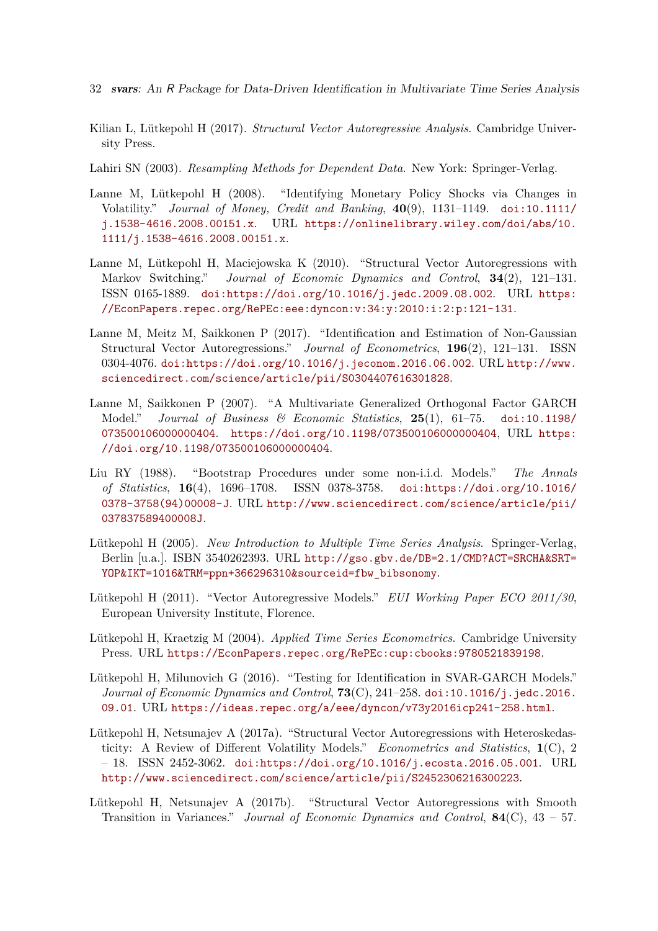- 32 svars: An R Package for Data-Driven Identification in Multivariate Time Series Analysis
- <span id="page-31-3"></span>Kilian L, Lütkepohl H (2017). *Structural Vector Autoregressive Analysis*. Cambridge University Press.
- <span id="page-31-11"></span>Lahiri SN (2003). *Resampling Methods for Dependent Data*. New York: Springer-Verlag.
- <span id="page-31-4"></span>Lanne M, Lütkepohl H (2008). "Identifying Monetary Policy Shocks via Changes in Volatility." *Journal of Money, Credit and Banking*, **40**(9), 1131–1149. [doi:10.1111/](http://dx.doi.org/10.1111/j.1538-4616.2008.00151.x) [j.1538-4616.2008.00151.x](http://dx.doi.org/10.1111/j.1538-4616.2008.00151.x). URL [https://onlinelibrary.wiley.com/doi/abs/10.](https://onlinelibrary.wiley.com/doi/abs/10.1111/j.1538-4616.2008.00151.x) [1111/j.1538-4616.2008.00151.x](https://onlinelibrary.wiley.com/doi/abs/10.1111/j.1538-4616.2008.00151.x).
- <span id="page-31-12"></span>Lanne M, Lütkepohl H, Maciejowska K (2010). "Structural Vector Autoregressions with Markov Switching." *Journal of Economic Dynamics and Control*, **34**(2), 121–131. ISSN 0165-1889. [doi:https://doi.org/10.1016/j.jedc.2009.08.002](http://dx.doi.org/https://doi.org/10.1016/j.jedc.2009.08.002). URL [https:](https://EconPapers.repec.org/RePEc:eee:dyncon:v:34:y:2010:i:2:p:121-131) [//EconPapers.repec.org/RePEc:eee:dyncon:v:34:y:2010:i:2:p:121-131](https://EconPapers.repec.org/RePEc:eee:dyncon:v:34:y:2010:i:2:p:121-131).
- <span id="page-31-2"></span>Lanne M, Meitz M, Saikkonen P (2017). "Identification and Estimation of Non-Gaussian Structural Vector Autoregressions." *Journal of Econometrics*, **196**(2), 121–131. ISSN 0304-4076. [doi:https://doi.org/10.1016/j.jeconom.2016.06.002](http://dx.doi.org/https://doi.org/10.1016/j.jeconom.2016.06.002). URL [http://www.](http://www.sciencedirect.com/science/article/pii/S0304407616301828) [sciencedirect.com/science/article/pii/S0304407616301828](http://www.sciencedirect.com/science/article/pii/S0304407616301828).
- <span id="page-31-5"></span>Lanne M, Saikkonen P (2007). "A Multivariate Generalized Orthogonal Factor GARCH Model." *Journal of Business & Economic Statistics*, **25**(1), 61–75. [doi:10.1198/](http://dx.doi.org/10.1198/073500106000000404) [073500106000000404](http://dx.doi.org/10.1198/073500106000000404). <https://doi.org/10.1198/073500106000000404>, URL [https:](https://doi.org/10.1198/073500106000000404) [//doi.org/10.1198/073500106000000404](https://doi.org/10.1198/073500106000000404).
- <span id="page-31-10"></span>Liu RY (1988). "Bootstrap Procedures under some non-i.i.d. Models." *The Annals of Statistics*, **16**(4), 1696–1708. ISSN 0378-3758. [doi:https://doi.org/10.1016/](http://dx.doi.org/https://doi.org/10.1016/0378-3758(94)00008-J) [0378-3758\(94\)00008-J](http://dx.doi.org/https://doi.org/10.1016/0378-3758(94)00008-J). URL [http://www.sciencedirect.com/science/article/pii/](http://www.sciencedirect.com/science/article/pii/037837589400008J) [037837589400008J](http://www.sciencedirect.com/science/article/pii/037837589400008J).
- <span id="page-31-0"></span>Lütkepohl H (2005). *New Introduction to Multiple Time Series Analysis*. Springer-Verlag, Berlin [u.a.]. ISBN 3540262393. URL [http://gso.gbv.de/DB=2.1/CMD?ACT=SRCHA&SRT=](http://gso.gbv.de/DB=2.1/CMD?ACT=SRCHA&SRT=YOP&IKT=1016&TRM=ppn+366296310&sourceid=fbw_bibsonomy) [YOP&IKT=1016&TRM=ppn+366296310&sourceid=fbw\\_bibsonomy](http://gso.gbv.de/DB=2.1/CMD?ACT=SRCHA&SRT=YOP&IKT=1016&TRM=ppn+366296310&sourceid=fbw_bibsonomy).
- <span id="page-31-9"></span>Lütkepohl H (2011). "Vector Autoregressive Models." *EUI Working Paper ECO 2011/30*, European University Institute, Florence.
- <span id="page-31-8"></span>Lütkepohl H, Kraetzig M (2004). *Applied Time Series Econometrics*. Cambridge University Press. URL <https://EconPapers.repec.org/RePEc:cup:cbooks:9780521839198>.
- <span id="page-31-6"></span>Lütkepohl H, Milunovich G (2016). "Testing for Identification in SVAR-GARCH Models." *Journal of Economic Dynamics and Control*, **73**(C), 241–258. [doi:10.1016/j.jedc.2016.](http://dx.doi.org/10.1016/j.jedc.2016.09.01) [09.01](http://dx.doi.org/10.1016/j.jedc.2016.09.01). URL <https://ideas.repec.org/a/eee/dyncon/v73y2016icp241-258.html>.
- <span id="page-31-7"></span>Lütkepohl H, Netsunajev A (2017a). "Structural Vector Autoregressions with Heteroskedasticity: A Review of Different Volatility Models." *Econometrics and Statistics*, **1**(C), 2  $-18.$  ISSN 2452-3062. [doi:https://doi.org/10.1016/j.ecosta.2016.05.001](http://dx.doi.org/https://doi.org/10.1016/j.ecosta.2016.05.001). URL <http://www.sciencedirect.com/science/article/pii/S2452306216300223>.
- <span id="page-31-1"></span>Lütkepohl H, Netsunajev A (2017b). "Structural Vector Autoregressions with Smooth Transition in Variances." *Journal of Economic Dynamics and Control*, **84**(C), 43 – 57.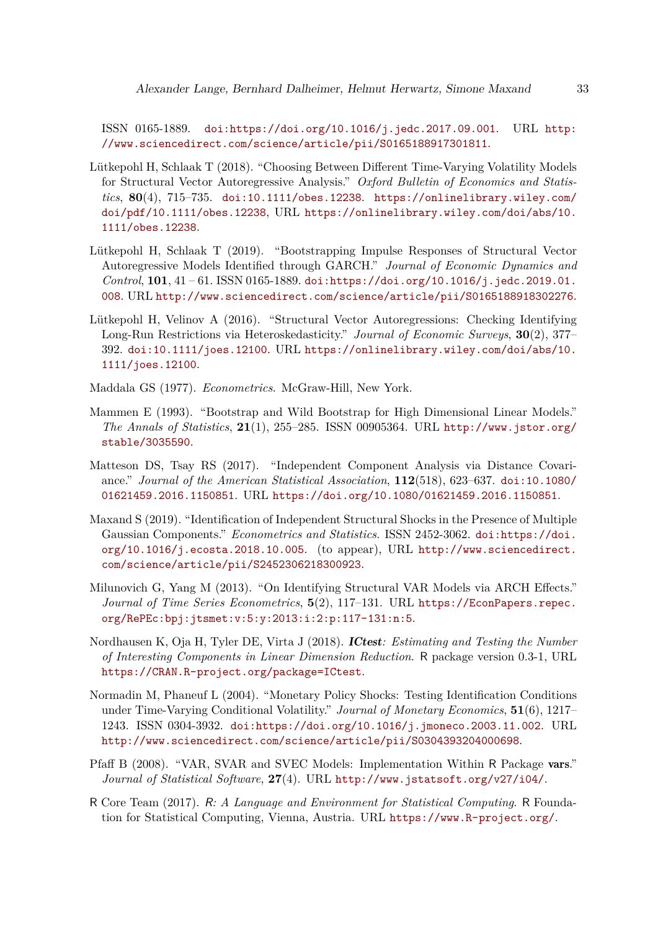ISSN 0165-1889. [doi:https://doi.org/10.1016/j.jedc.2017.09.001](http://dx.doi.org/https://doi.org/10.1016/j.jedc.2017.09.001). URL [http:](http://www.sciencedirect.com/science/article/pii/S0165188917301811) [//www.sciencedirect.com/science/article/pii/S0165188917301811](http://www.sciencedirect.com/science/article/pii/S0165188917301811).

- <span id="page-32-4"></span>Lütkepohl H, Schlaak T (2018). "Choosing Between Different Time-Varying Volatility Models for Structural Vector Autoregressive Analysis." *Oxford Bulletin of Economics and Statistics*, **80**(4), 715–735. [doi:10.1111/obes.12238](http://dx.doi.org/10.1111/obes.12238). [https://onlinelibrary.wiley.com/](https://onlinelibrary.wiley.com/doi/pdf/10.1111/obes.12238) [doi/pdf/10.1111/obes.12238](https://onlinelibrary.wiley.com/doi/pdf/10.1111/obes.12238), URL [https://onlinelibrary.wiley.com/doi/abs/10.](https://onlinelibrary.wiley.com/doi/abs/10.1111/obes.12238) [1111/obes.12238](https://onlinelibrary.wiley.com/doi/abs/10.1111/obes.12238).
- <span id="page-32-11"></span>Lütkepohl H, Schlaak T (2019). "Bootstrapping Impulse Responses of Structural Vector Autoregressive Models Identified through GARCH." *Journal of Economic Dynamics and Control*, **101**, 41 – 61. ISSN 0165-1889. [doi:https://doi.org/10.1016/j.jedc.2019.01.](http://dx.doi.org/https://doi.org/10.1016/j.jedc.2019.01.008) [008](http://dx.doi.org/https://doi.org/10.1016/j.jedc.2019.01.008). URL <http://www.sciencedirect.com/science/article/pii/S0165188918302276>.
- <span id="page-32-9"></span>Lütkepohl H, Velinov A (2016). "Structural Vector Autoregressions: Checking Identifying Long-Run Restrictions via Heteroskedasticity." *Journal of Economic Surveys*, **30**(2), 377– 392. [doi:10.1111/joes.12100](http://dx.doi.org/10.1111/joes.12100). URL [https://onlinelibrary.wiley.com/doi/abs/10.](https://onlinelibrary.wiley.com/doi/abs/10.1111/joes.12100) [1111/joes.12100](https://onlinelibrary.wiley.com/doi/abs/10.1111/joes.12100).
- <span id="page-32-5"></span>Maddala GS (1977). *Econometrics*. McGraw-Hill, New York.
- <span id="page-32-10"></span>Mammen E (1993). "Bootstrap and Wild Bootstrap for High Dimensional Linear Models." *The Annals of Statistics*, **21**(1), 255–285. ISSN 00905364. URL [http://www.jstor.org/](http://www.jstor.org/stable/3035590) [stable/3035590](http://www.jstor.org/stable/3035590).
- <span id="page-32-3"></span>Matteson DS, Tsay RS (2017). "Independent Component Analysis via Distance Covariance." *Journal of the American Statistical Association*, **112**(518), 623–637. [doi:10.1080/](http://dx.doi.org/10.1080/01621459.2016.1150851) [01621459.2016.1150851](http://dx.doi.org/10.1080/01621459.2016.1150851). URL <https://doi.org/10.1080/01621459.2016.1150851>.
- <span id="page-32-7"></span>Maxand S (2019). "Identification of Independent Structural Shocks in the Presence of Multiple Gaussian Components." *Econometrics and Statistics*. ISSN 2452-3062. [doi:https://doi.](http://dx.doi.org/https://doi.org/10.1016/j.ecosta.2018.10.005) [org/10.1016/j.ecosta.2018.10.005](http://dx.doi.org/https://doi.org/10.1016/j.ecosta.2018.10.005). (to appear), URL [http://www.sciencedirect.](http://www.sciencedirect.com/science/article/pii/S2452306218300923) [com/science/article/pii/S2452306218300923](http://www.sciencedirect.com/science/article/pii/S2452306218300923).
- <span id="page-32-6"></span>Milunovich G, Yang M (2013). "On Identifying Structural VAR Models via ARCH Effects." *Journal of Time Series Econometrics*, **5**(2), 117–131. URL [https://EconPapers.repec.](https://EconPapers.repec.org/RePEc:bpj:jtsmet:v:5:y:2013:i:2:p:117-131:n:5) [org/RePEc:bpj:jtsmet:v:5:y:2013:i:2:p:117-131:n:5](https://EconPapers.repec.org/RePEc:bpj:jtsmet:v:5:y:2013:i:2:p:117-131:n:5).
- <span id="page-32-8"></span>Nordhausen K, Oja H, Tyler DE, Virta J (2018). ICtest*: Estimating and Testing the Number of Interesting Components in Linear Dimension Reduction*. R package version 0.3-1, URL <https://CRAN.R-project.org/package=ICtest>.
- <span id="page-32-2"></span>Normadin M, Phaneuf L (2004). "Monetary Policy Shocks: Testing Identification Conditions under Time-Varying Conditional Volatility." *Journal of Monetary Economics*, **51**(6), 1217– 1243. ISSN 0304-3932. [doi:https://doi.org/10.1016/j.jmoneco.2003.11.002](http://dx.doi.org/https://doi.org/10.1016/j.jmoneco.2003.11.002). URL <http://www.sciencedirect.com/science/article/pii/S0304393204000698>.
- <span id="page-32-1"></span>Pfaff B (2008). "VAR, SVAR and SVEC Models: Implementation Within R Package vars." *Journal of Statistical Software*, **27**(4). URL <http://www.jstatsoft.org/v27/i04/>.
- <span id="page-32-0"></span>R Core Team (2017). R*: A Language and Environment for Statistical Computing*. R Foundation for Statistical Computing, Vienna, Austria. URL <https://www.R-project.org/>.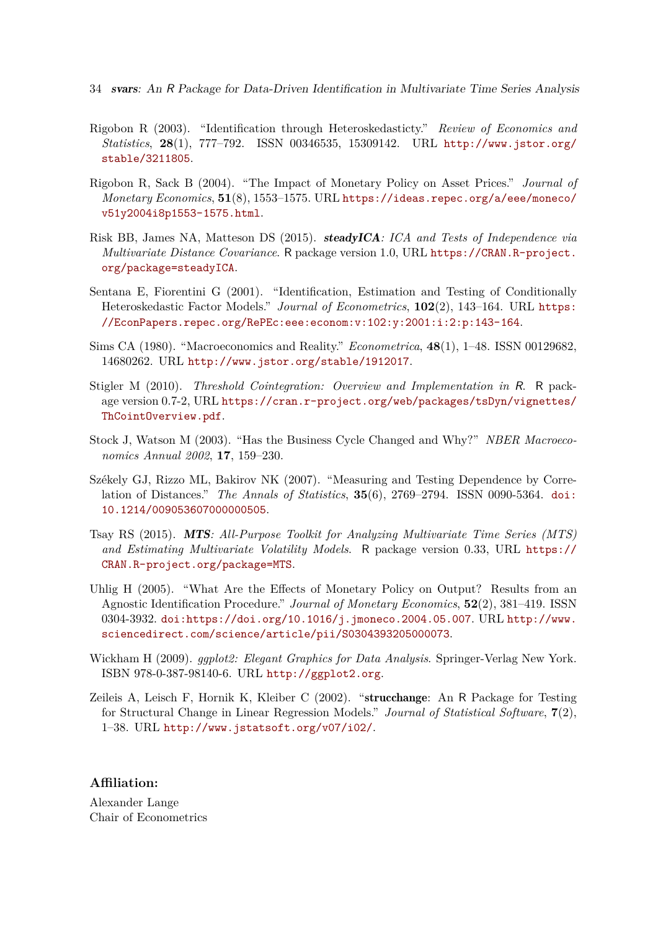- 34 svars: An R Package for Data-Driven Identification in Multivariate Time Series Analysis
- <span id="page-33-4"></span>Rigobon R (2003). "Identification through Heteroskedasticty." *Review of Economics and Statistics*, **28**(1), 777–792. ISSN 00346535, 15309142. URL [http://www.jstor.org/](http://www.jstor.org/stable/3211805) [stable/3211805](http://www.jstor.org/stable/3211805).
- <span id="page-33-6"></span>Rigobon R, Sack B (2004). "The Impact of Monetary Policy on Asset Prices." *Journal of Monetary Economics*, **51**(8), 1553–1575. URL [https://ideas.repec.org/a/eee/moneco/](https://ideas.repec.org/a/eee/moneco/v51y2004i8p1553-1575.html) [v51y2004i8p1553-1575.html](https://ideas.repec.org/a/eee/moneco/v51y2004i8p1553-1575.html).
- <span id="page-33-8"></span>Risk BB, James NA, Matteson DS (2015). steadyICA*: ICA and Tests of Independence via Multivariate Distance Covariance*. R package version 1.0, URL [https://CRAN.R-project.](https://CRAN.R-project.org/package=steadyICA) [org/package=steadyICA](https://CRAN.R-project.org/package=steadyICA).
- <span id="page-33-5"></span>Sentana E, Fiorentini G (2001). "Identification, Estimation and Testing of Conditionally Heteroskedastic Factor Models." *Journal of Econometrics*, **102**(2), 143–164. URL [https:](https://EconPapers.repec.org/RePEc:eee:econom:v:102:y:2001:i:2:p:143-164) [//EconPapers.repec.org/RePEc:eee:econom:v:102:y:2001:i:2:p:143-164](https://EconPapers.repec.org/RePEc:eee:econom:v:102:y:2001:i:2:p:143-164).
- <span id="page-33-0"></span>Sims CA (1980). "Macroeconomics and Reality." *Econometrica*, **48**(1), 1–48. ISSN 00129682, 14680262. URL <http://www.jstor.org/stable/1912017>.
- <span id="page-33-2"></span>Stigler M (2010). *Threshold Cointegration: Overview and Implementation in* R. R package version 0.7-2, URL [https://cran.r-project.org/web/packages/tsDyn/vignettes/](https://cran.r-project.org/web/packages/tsDyn/vignettes/ThCointOverview.pdf) [ThCointOverview.pdf](https://cran.r-project.org/web/packages/tsDyn/vignettes/ThCointOverview.pdf).
- <span id="page-33-11"></span>Stock J, Watson M (2003). "Has the Business Cycle Changed and Why?" *NBER Macroeconomics Annual 2002*, **17**, 159–230.
- <span id="page-33-7"></span>Székely GJ, Rizzo ML, Bakirov NK (2007). "Measuring and Testing Dependence by Correlation of Distances." *The Annals of Statistics*, **35**(6), 2769–2794. ISSN 0090-5364. [doi:](http://dx.doi.org/10.1214/009053607000000505) [10.1214/009053607000000505](http://dx.doi.org/10.1214/009053607000000505).
- <span id="page-33-3"></span>Tsay RS (2015). MTS*: All-Purpose Toolkit for Analyzing Multivariate Time Series (MTS) and Estimating Multivariate Volatility Models*. R package version 0.33, URL [https://](https://CRAN.R-project.org/package=MTS) [CRAN.R-project.org/package=MTS](https://CRAN.R-project.org/package=MTS).
- <span id="page-33-1"></span>Uhlig H (2005). "What Are the Effects of Monetary Policy on Output? Results from an Agnostic Identification Procedure." *Journal of Monetary Economics*, **52**(2), 381–419. ISSN 0304-3932. [doi:https://doi.org/10.1016/j.jmoneco.2004.05.007](http://dx.doi.org/https://doi.org/10.1016/j.jmoneco.2004.05.007). URL [http://www.](http://www.sciencedirect.com/science/article/pii/S0304393205000073) [sciencedirect.com/science/article/pii/S0304393205000073](http://www.sciencedirect.com/science/article/pii/S0304393205000073).
- <span id="page-33-10"></span>Wickham H (2009). *ggplot2: Elegant Graphics for Data Analysis*. Springer-Verlag New York. ISBN 978-0-387-98140-6. URL <http://ggplot2.org>.
- <span id="page-33-9"></span>Zeileis A, Leisch F, Hornik K, Kleiber C (2002). "strucchange: An R Package for Testing for Structural Change in Linear Regression Models." *Journal of Statistical Software*, **7**(2), 1–38. URL <http://www.jstatsoft.org/v07/i02/>.

## **Affiliation:**

Alexander Lange Chair of Econometrics